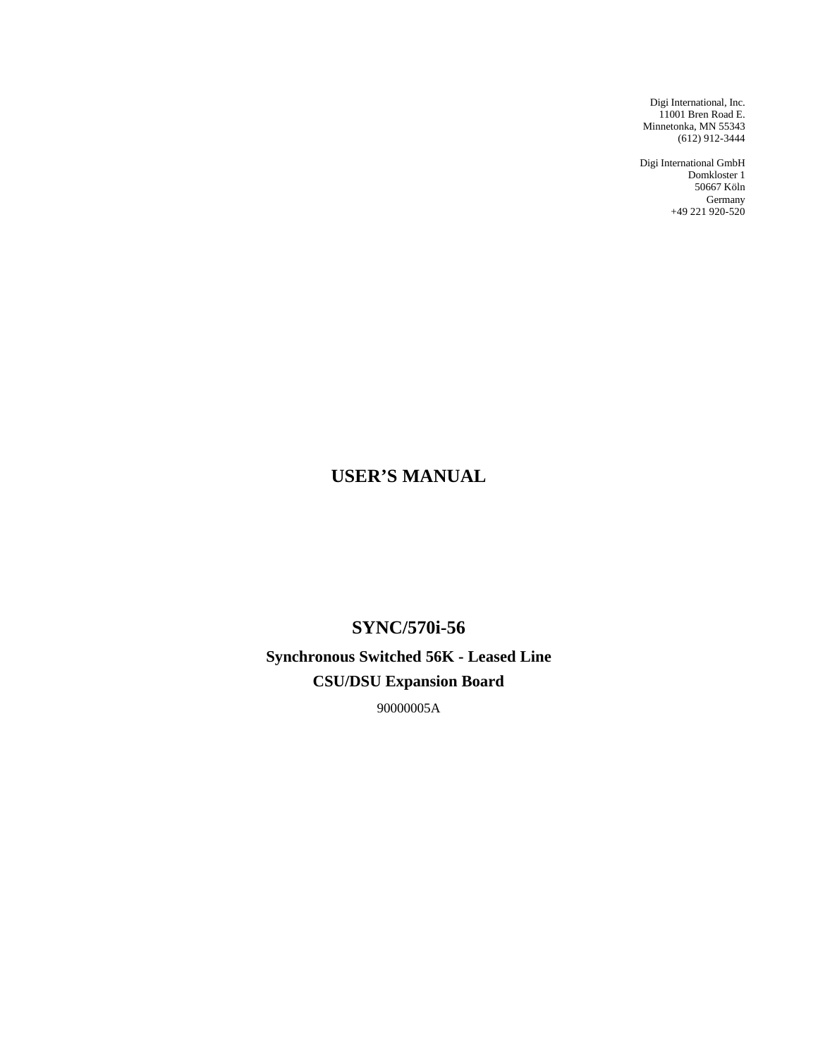Digi International, Inc. 11001 Bren Road E. Minnetonka, MN 55343 (612) 912-3444

Digi International GmbH Domkloster 1 50667 Köln Germany +49 221 920-520

# **USER'S MANUAL**

**SYNC/570i-56 Synchronous Switched 56K - Leased Line CSU/DSU Expansion Board**

90000005A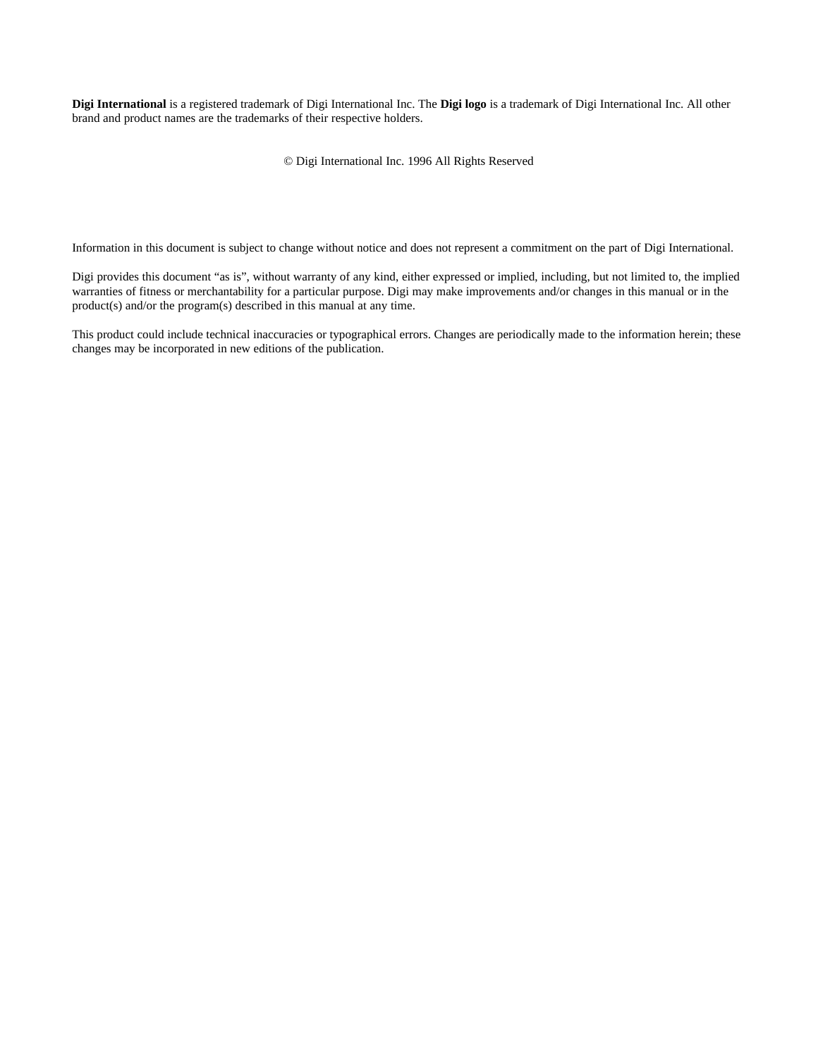**Digi International** is a registered trademark of Digi International Inc. The **Digi logo** is a trademark of Digi International Inc. All other brand and product names are the trademarks of their respective holders.

© Digi International Inc. 1996 All Rights Reserved

Information in this document is subject to change without notice and does not represent a commitment on the part of Digi International.

Digi provides this document "as is", without warranty of any kind, either expressed or implied, including, but not limited to, the implied warranties of fitness or merchantability for a particular purpose. Digi may make improvements and/or changes in this manual or in the product(s) and/or the program(s) described in this manual at any time.

This product could include technical inaccuracies or typographical errors. Changes are periodically made to the information herein; these changes may be incorporated in new editions of the publication.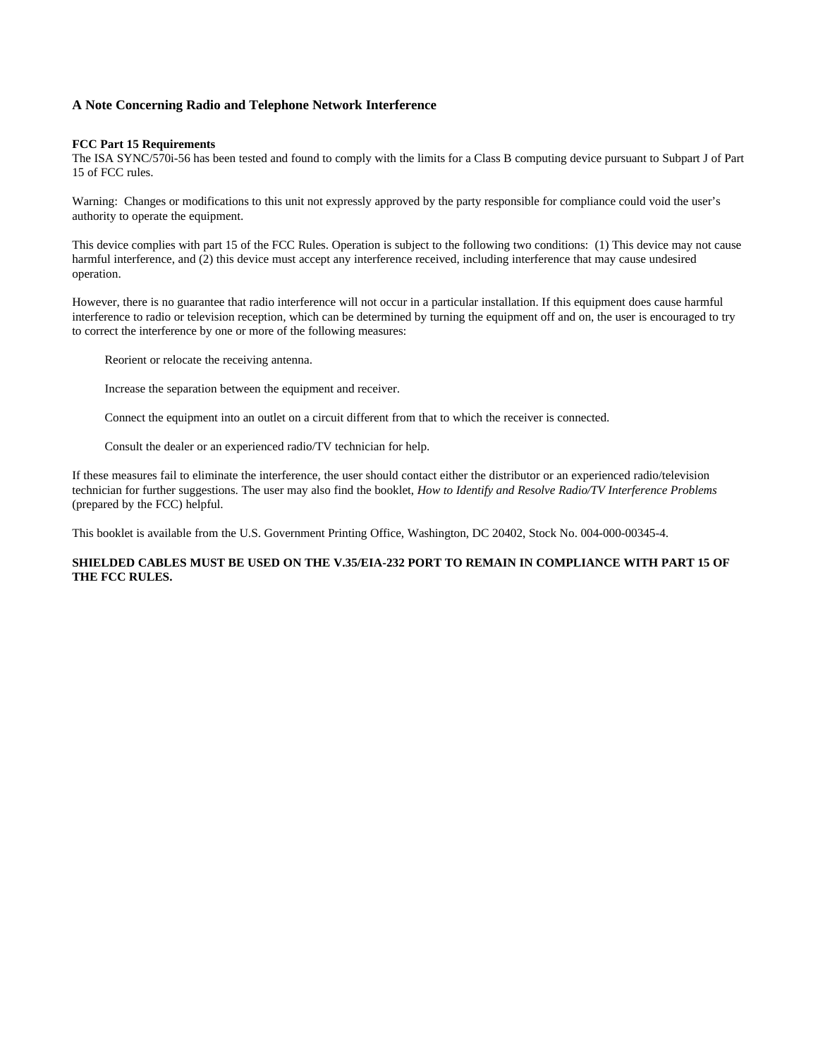#### **A Note Concerning Radio and Telephone Network Interference**

#### **FCC Part 15 Requirements**

The ISA SYNC/570i-56 has been tested and found to comply with the limits for a Class B computing device pursuant to Subpart J of Part 15 of FCC rules.

Warning: Changes or modifications to this unit not expressly approved by the party responsible for compliance could void the user's authority to operate the equipment.

This device complies with part 15 of the FCC Rules. Operation is subject to the following two conditions: (1) This device may not cause harmful interference, and (2) this device must accept any interference received, including interference that may cause undesired operation.

However, there is no guarantee that radio interference will not occur in a particular installation. If this equipment does cause harmful interference to radio or television reception, which can be determined by turning the equipment off and on, the user is encouraged to try to correct the interference by one or more of the following measures:

Reorient or relocate the receiving antenna.

Increase the separation between the equipment and receiver.

Connect the equipment into an outlet on a circuit different from that to which the receiver is connected.

Consult the dealer or an experienced radio/TV technician for help.

If these measures fail to eliminate the interference, the user should contact either the distributor or an experienced radio/television technician for further suggestions. The user may also find the booklet, *How to Identify and Resolve Radio/TV Interference Problems* (prepared by the FCC) helpful.

This booklet is available from the U.S. Government Printing Office, Washington, DC 20402, Stock No. 004-000-00345-4.

#### **SHIELDED CABLES MUST BE USED ON THE V.35/EIA-232 PORT TO REMAIN IN COMPLIANCE WITH PART 15 OF THE FCC RULES.**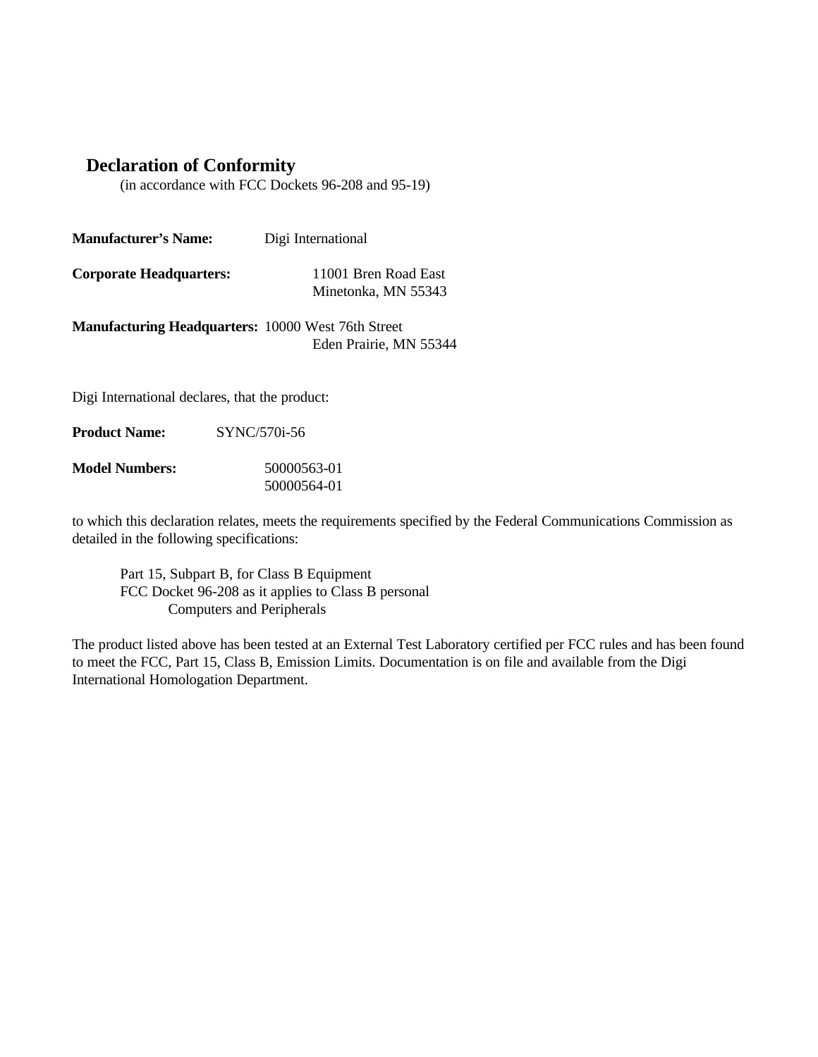## **Declaration of Conformity**

(in accordance with FCC Dockets 96-208 and 95-19)

| <b>Manufacturer's Name:</b>                               | Digi International                          |
|-----------------------------------------------------------|---------------------------------------------|
| <b>Corporate Headquarters:</b>                            | 11001 Bren Road East<br>Minetonka, MN 55343 |
| <b>Manufacturing Headquarters: 10000 West 76th Street</b> | Eden Prairie, MN 55344                      |
|                                                           |                                             |

Digi International declares, that the product:

| SYNC/570i-56 |
|--------------|
|              |

| <b>Model Numbers:</b> | 50000563-01 |
|-----------------------|-------------|
|                       | 50000564-01 |

to which this declaration relates, meets the requirements specified by the Federal Communications Commission as detailed in the following specifications:

Part 15, Subpart B, for Class B Equipment FCC Docket 96-208 as it applies to Class B personal Computers and Peripherals

The product listed above has been tested at an External Test Laboratory certified per FCC rules and has been found to meet the FCC, Part 15, Class B, Emission Limits. Documentation is on file and available from the Digi International Homologation Department.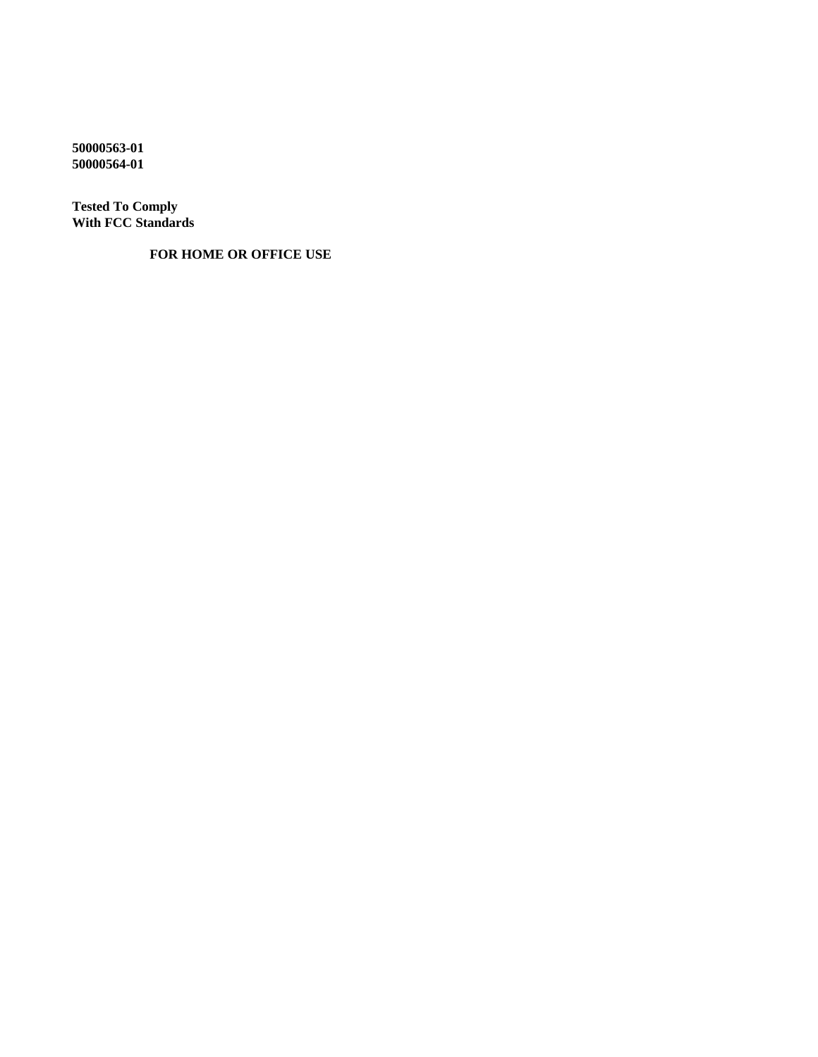**50000563-01 50000564-01**

**Tested To Comply With FCC Standards**

 **FOR HOME OR OFFICE USE**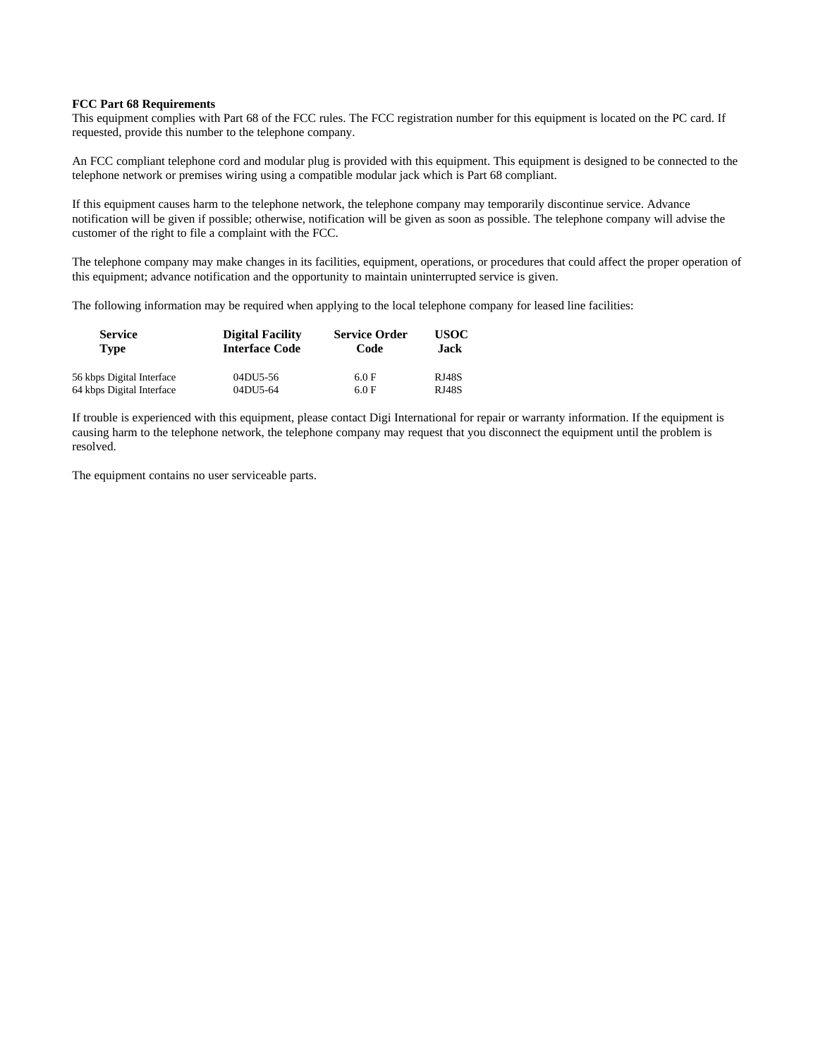#### **FCC Part 68 Requirements**

This equipment complies with Part 68 of the FCC rules. The FCC registration number for this equipment is located on the PC card. If requested, provide this number to the telephone company.

An FCC compliant telephone cord and modular plug is provided with this equipment. This equipment is designed to be connected to the telephone network or premises wiring using a compatible modular jack which is Part 68 compliant.

If this equipment causes harm to the telephone network, the telephone company may temporarily discontinue service. Advance notification will be given if possible; otherwise, notification will be given as soon as possible. The telephone company will advise the customer of the right to file a complaint with the FCC.

The telephone company may make changes in its facilities, equipment, operations, or procedures that could affect the proper operation of this equipment; advance notification and the opportunity to maintain uninterrupted service is given.

The following information may be required when applying to the local telephone company for leased line facilities:

| <b>Service</b><br><b>Type</b> | <b>Digital Facility</b><br><b>Interface Code</b> | <b>Service Order</b><br>Code | USOC-<br>.Jack |
|-------------------------------|--------------------------------------------------|------------------------------|----------------|
| 56 kbps Digital Interface     | 04DU5-56                                         | 6.0 F                        | <b>RJ48S</b>   |
| 64 kbps Digital Interface     | 04DU5-64                                         | 6.0 F                        | <b>RJ48S</b>   |

If trouble is experienced with this equipment, please contact Digi International for repair or warranty information. If the equipment is causing harm to the telephone network, the telephone company may request that you disconnect the equipment until the problem is resolved.

The equipment contains no user serviceable parts.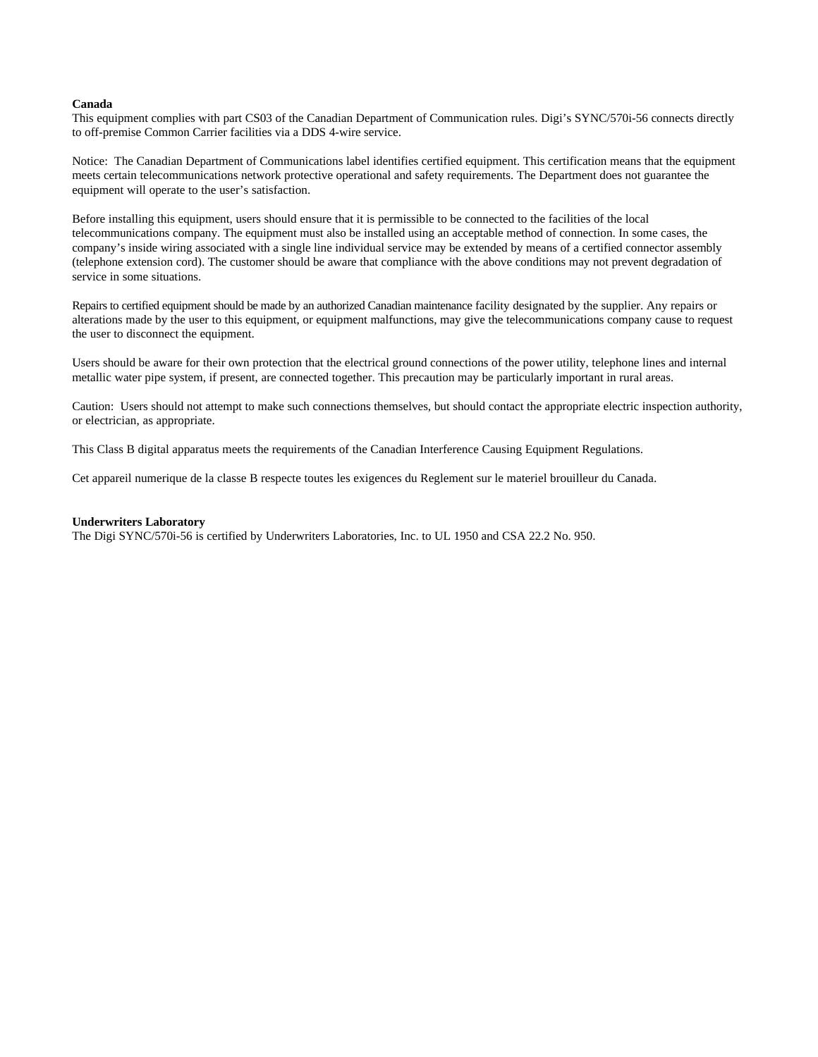#### **Canada**

This equipment complies with part CS03 of the Canadian Department of Communication rules. Digi's SYNC/570i-56 connects directly to off-premise Common Carrier facilities via a DDS 4-wire service.

Notice: The Canadian Department of Communications label identifies certified equipment. This certification means that the equipment meets certain telecommunications network protective operational and safety requirements. The Department does not guarantee the equipment will operate to the user's satisfaction.

Before installing this equipment, users should ensure that it is permissible to be connected to the facilities of the local telecommunications company. The equipment must also be installed using an acceptable method of connection. In some cases, the company's inside wiring associated with a single line individual service may be extended by means of a certified connector assembly (telephone extension cord). The customer should be aware that compliance with the above conditions may not prevent degradation of service in some situations.

Repairs to certified equipment should be made by an authorized Canadian maintenance facility designated by the supplier. Any repairs or alterations made by the user to this equipment, or equipment malfunctions, may give the telecommunications company cause to request the user to disconnect the equipment.

Users should be aware for their own protection that the electrical ground connections of the power utility, telephone lines and internal metallic water pipe system, if present, are connected together. This precaution may be particularly important in rural areas.

Caution: Users should not attempt to make such connections themselves, but should contact the appropriate electric inspection authority, or electrician, as appropriate.

This Class B digital apparatus meets the requirements of the Canadian Interference Causing Equipment Regulations.

Cet appareil numerique de la classe B respecte toutes les exigences du Reglement sur le materiel brouilleur du Canada.

#### **Underwriters Laboratory**

The Digi SYNC/570i-56 is certified by Underwriters Laboratories, Inc. to UL 1950 and CSA 22.2 No. 950.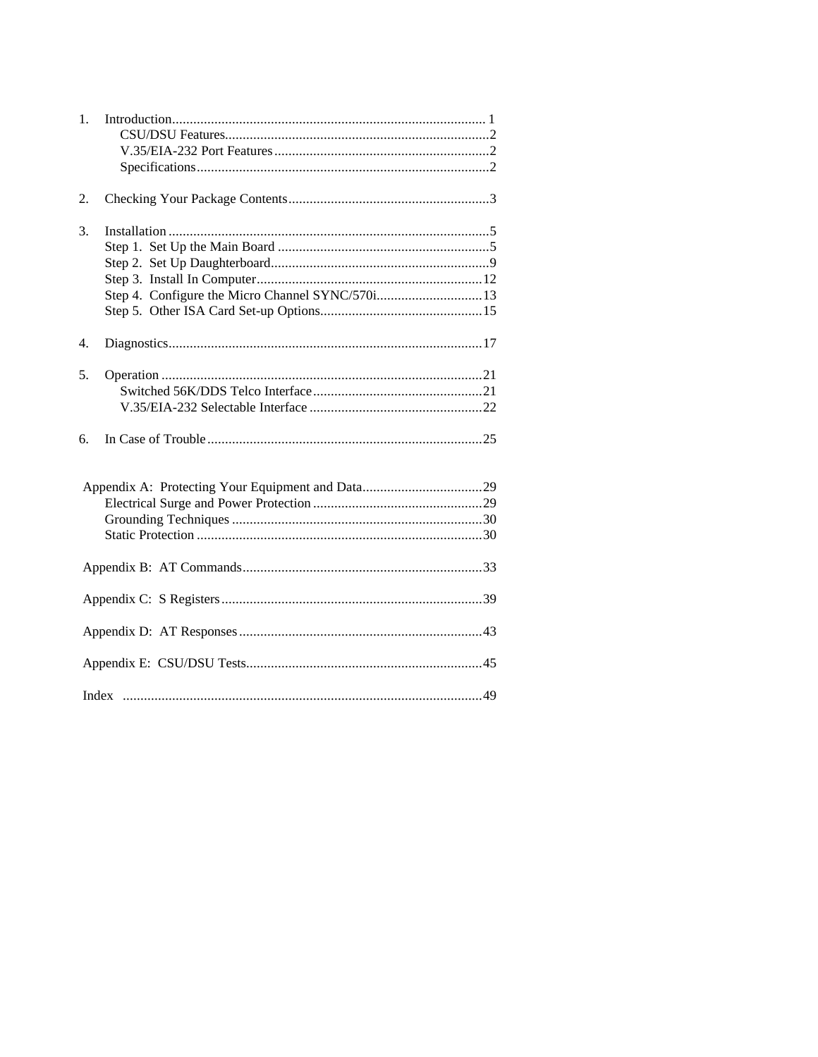| 1. |                                                 |
|----|-------------------------------------------------|
| 2. |                                                 |
| 3. | Step 4. Configure the Micro Channel SYNC/570i13 |
| 4. |                                                 |
| 5. |                                                 |
| 6. |                                                 |
|    |                                                 |
|    |                                                 |
|    |                                                 |
|    |                                                 |
|    |                                                 |
|    |                                                 |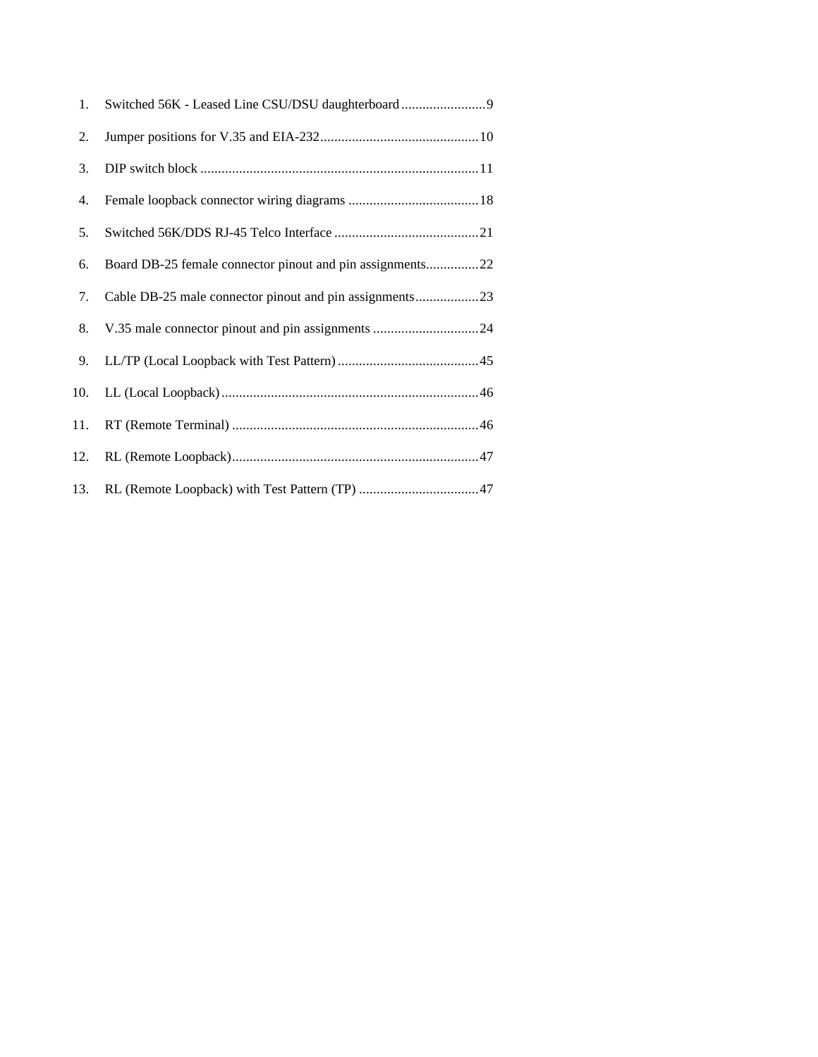| 1.  |                                                           |
|-----|-----------------------------------------------------------|
| 2.  |                                                           |
| 3.  |                                                           |
| 4.  |                                                           |
| 5.  |                                                           |
| 6.  | Board DB-25 female connector pinout and pin assignments22 |
| 7.  | Cable DB-25 male connector pinout and pin assignments23   |
| 8.  |                                                           |
| 9.  |                                                           |
| 10. |                                                           |
| 11. |                                                           |
| 12. |                                                           |
| 13. |                                                           |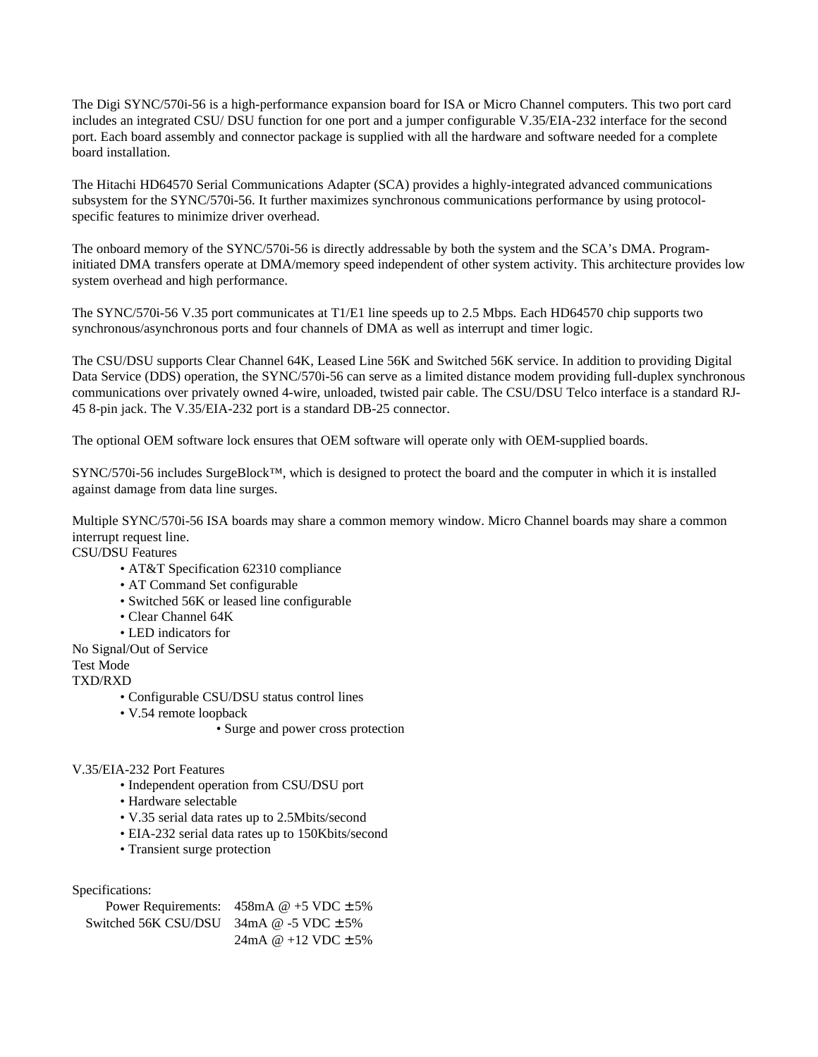The Digi SYNC/570i-56 is a high-performance expansion board for ISA or Micro Channel computers. This two port card includes an integrated CSU/ DSU function for one port and a jumper configurable V.35/EIA-232 interface for the second port. Each board assembly and connector package is supplied with all the hardware and software needed for a complete board installation.

The Hitachi HD64570 Serial Communications Adapter (SCA) provides a highly-integrated advanced communications subsystem for the SYNC/570i-56. It further maximizes synchronous communications performance by using protocolspecific features to minimize driver overhead.

The onboard memory of the SYNC/570i-56 is directly addressable by both the system and the SCA's DMA. Programinitiated DMA transfers operate at DMA/memory speed independent of other system activity. This architecture provides low system overhead and high performance.

The SYNC/570i-56 V.35 port communicates at T1/E1 line speeds up to 2.5 Mbps. Each HD64570 chip supports two synchronous/asynchronous ports and four channels of DMA as well as interrupt and timer logic.

The CSU/DSU supports Clear Channel 64K, Leased Line 56K and Switched 56K service. In addition to providing Digital Data Service (DDS) operation, the SYNC/570i-56 can serve as a limited distance modem providing full-duplex synchronous communications over privately owned 4-wire, unloaded, twisted pair cable. The CSU/DSU Telco interface is a standard RJ-45 8-pin jack. The V.35/EIA-232 port is a standard DB-25 connector.

The optional OEM software lock ensures that OEM software will operate only with OEM-supplied boards.

SYNC/570i-56 includes SurgeBlock™, which is designed to protect the board and the computer in which it is installed against damage from data line surges.

Multiple SYNC/570i-56 ISA boards may share a common memory window. Micro Channel boards may share a common interrupt request line.

CSU/DSU Features

- AT&T Specification 62310 compliance
- AT Command Set configurable
- Switched 56K or leased line configurable
- Clear Channel 64K
- LED indicators for

No Signal/Out of Service

Test Mode

TXD/RXD

- Configurable CSU/DSU status control lines
- V.54 remote loopback
	- Surge and power cross protection

V.35/EIA-232 Port Features

- Independent operation from CSU/DSU port
- Hardware selectable
- V.35 serial data rates up to 2.5Mbits/second
- EIA-232 serial data rates up to 150Kbits/second
- Transient surge protection

Specifications:

|                                              | Power Requirements: $458mA @ +5 VDC \pm 5\%$ |
|----------------------------------------------|----------------------------------------------|
| Switched 56K CSU/DSU $34mA @ -5 VDC \pm 5\%$ |                                              |
|                                              | 24mA @ +12 VDC $\pm$ 5%                      |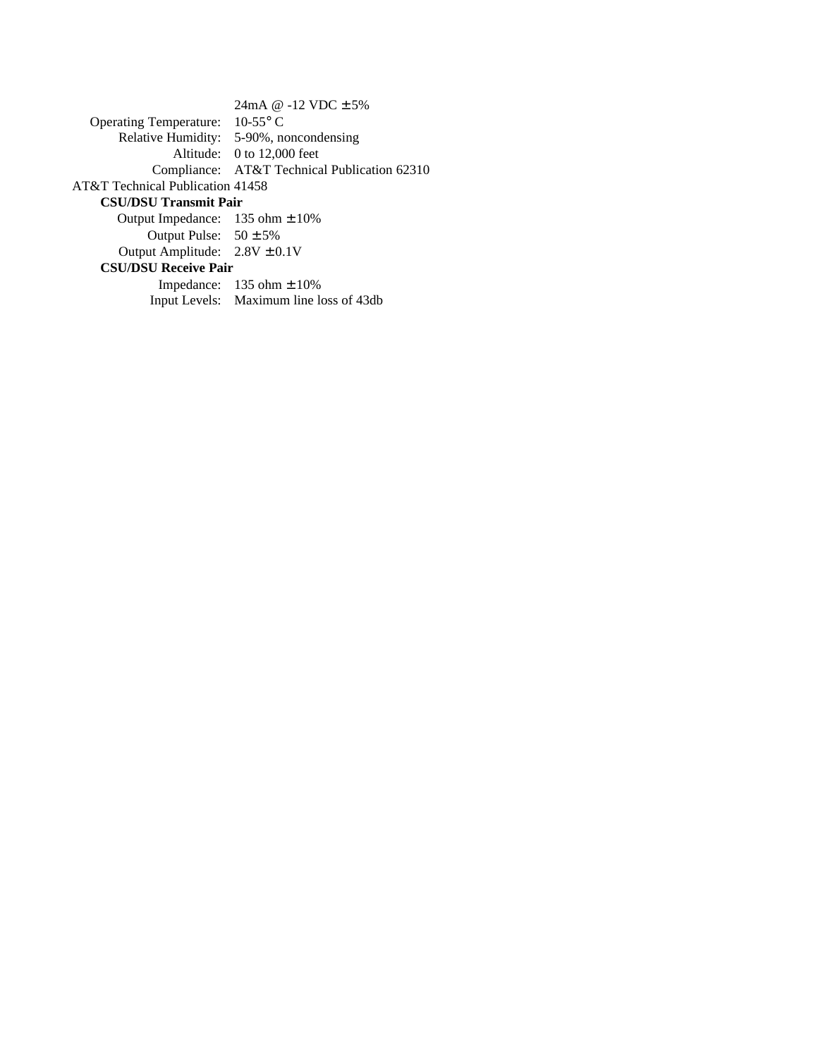|                                              | 24mA @ -12 VDC $\pm$ 5%                      |  |
|----------------------------------------------|----------------------------------------------|--|
| Operating Temperature: $10-55^{\circ}$ C     |                                              |  |
|                                              | Relative Humidity: 5-90%, noncondensing      |  |
|                                              | Altitude: 0 to 12,000 feet                   |  |
|                                              | Compliance: AT&T Technical Publication 62310 |  |
| AT&T Technical Publication 41458             |                                              |  |
| <b>CSU/DSU Transmit Pair</b>                 |                                              |  |
| Output Impedance: $135 \text{ ohm} \pm 10\%$ |                                              |  |
| Output Pulse: $50 \pm 5\%$                   |                                              |  |
| Output Amplitude: $2.8V \pm 0.1V$            |                                              |  |
| <b>CSU/DSU Receive Pair</b>                  |                                              |  |

| Impedance: $135 \text{ ohm} \pm 10\%$   |
|-----------------------------------------|
| Input Levels: Maximum line loss of 43db |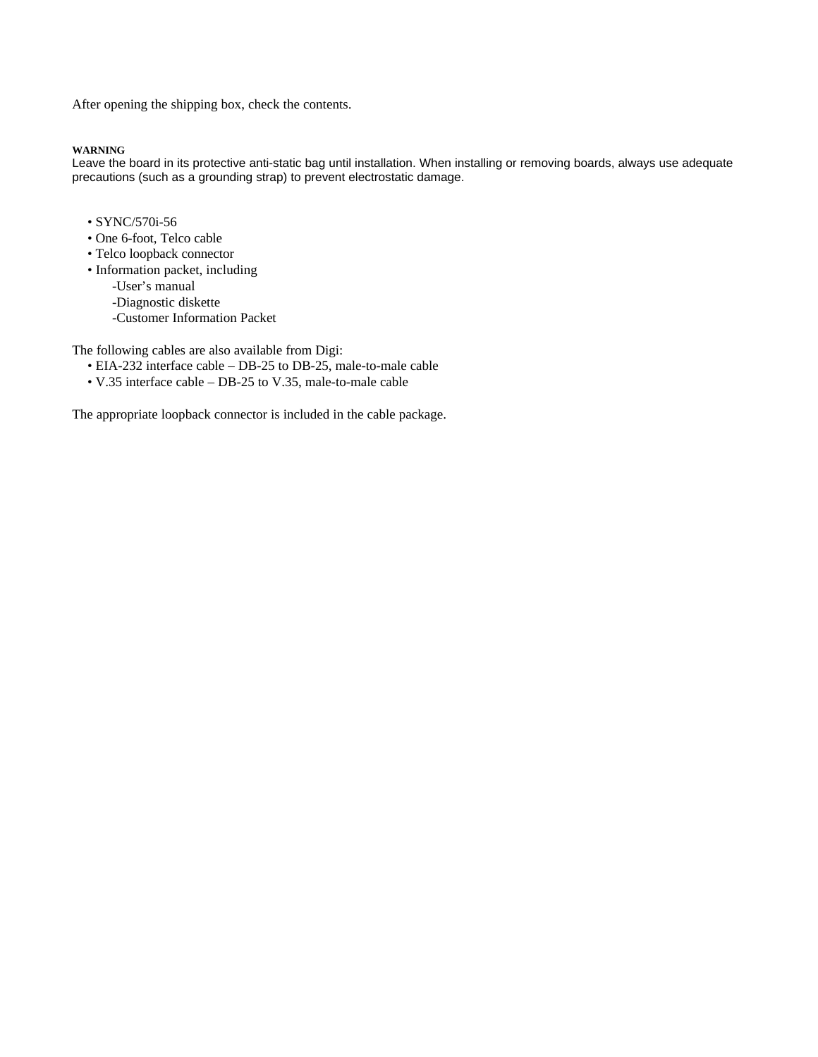After opening the shipping box, check the contents.

#### **WARNING**

Leave the board in its protective anti-static bag until installation. When installing or removing boards, always use adequate precautions (such as a grounding strap) to prevent electrostatic damage.

- SYNC/570i-56
- One 6-foot, Telco cable
- Telco loopback connector
- Information packet, including
	- -User's manual
	- -Diagnostic diskette
	- -Customer Information Packet

The following cables are also available from Digi:

- EIA-232 interface cable DB-25 to DB-25, male-to-male cable
- V.35 interface cable DB-25 to V.35, male-to-male cable

The appropriate loopback connector is included in the cable package.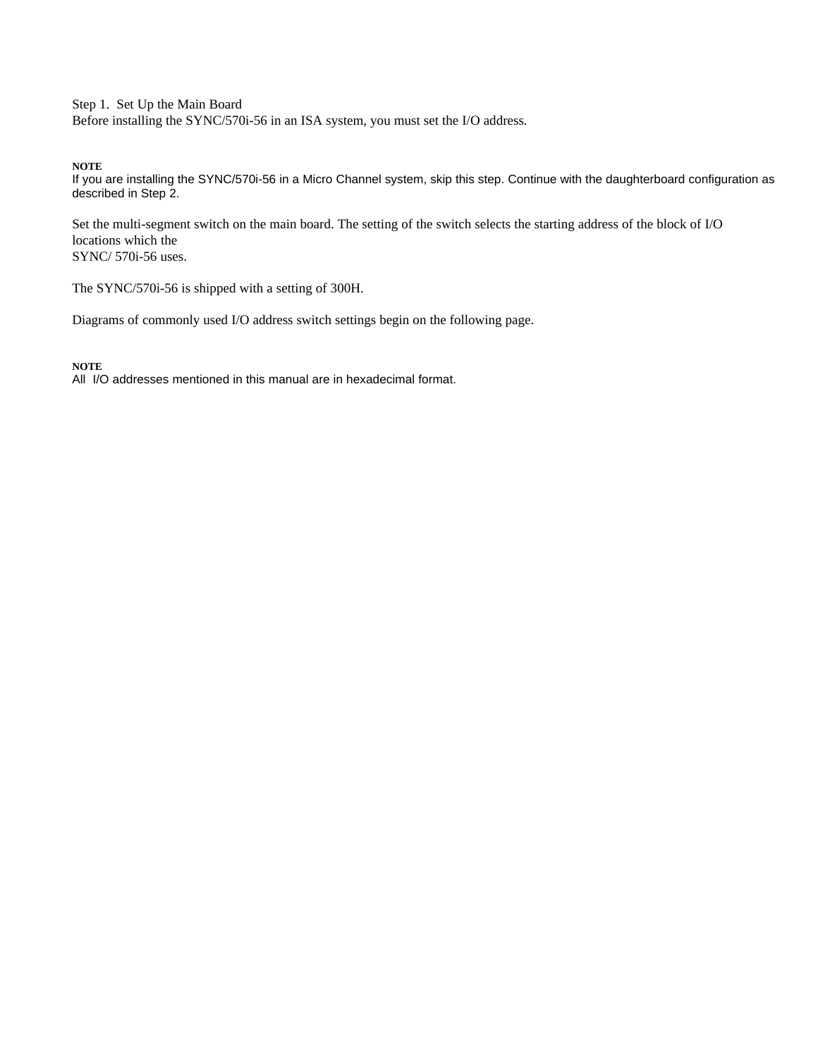Step 1. Set Up the Main Board Before installing the SYNC/570i-56 in an ISA system, you must set the I/O address.

**NOTE**

If you are installing the SYNC/570i-56 in a Micro Channel system, skip this step. Continue with the daughterboard configuration as described in Step 2.

Set the multi-segment switch on the main board. The setting of the switch selects the starting address of the block of I/O locations which the SYNC/ 570i-56 uses.

The SYNC/570i-56 is shipped with a setting of 300H.

Diagrams of commonly used I/O address switch settings begin on the following page.

**NOTE**

All I/O addresses mentioned in this manual are in hexadecimal format.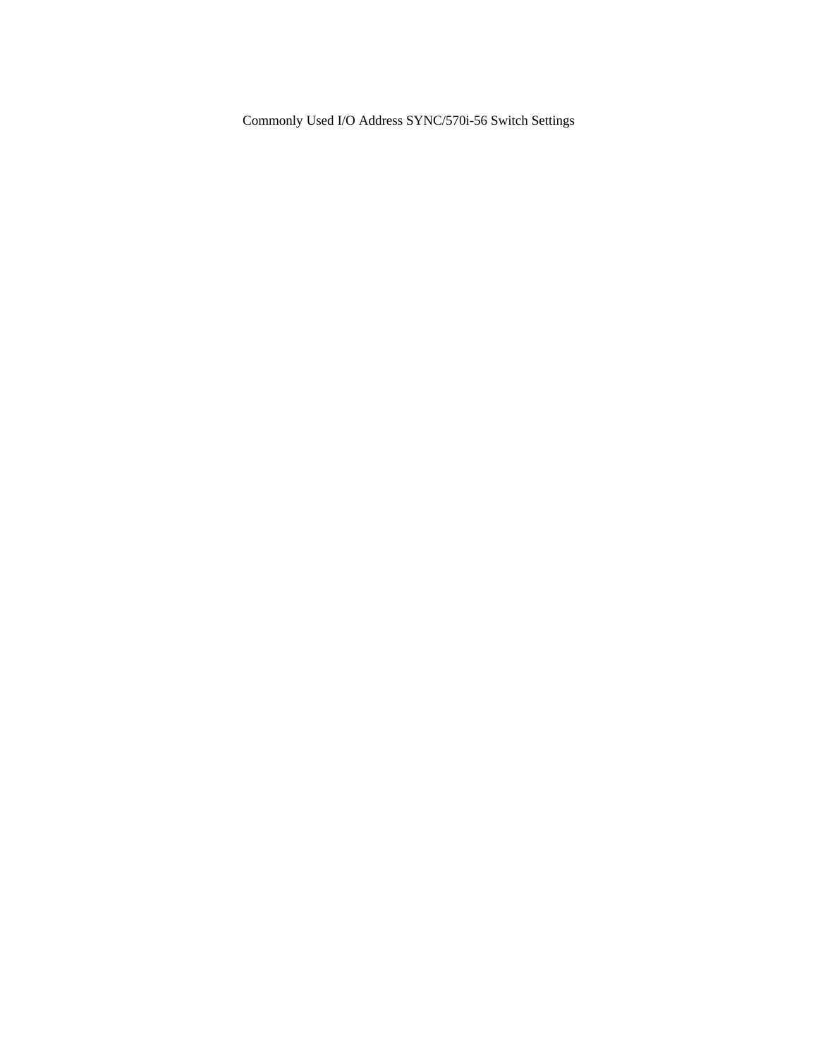Commonly Used I/O Address SYNC/570i-56 Switch Settings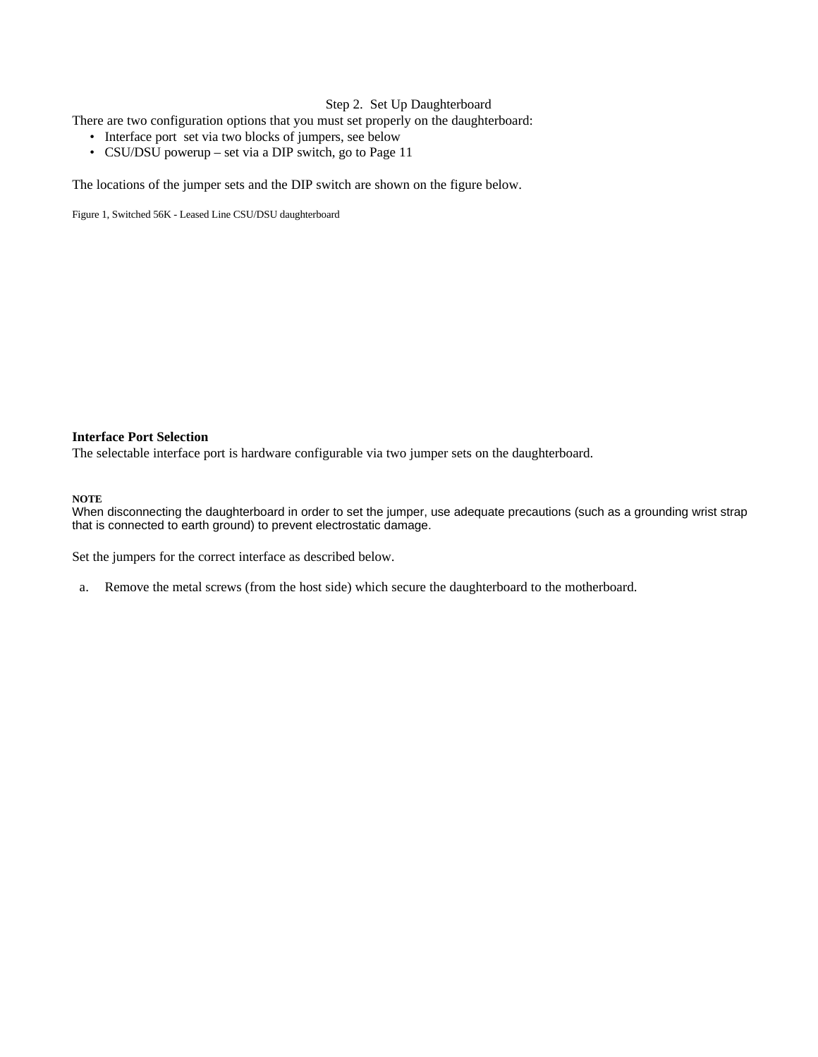### Step 2. Set Up Daughterboard

There are two configuration options that you must set properly on the daughterboard:

- Interface port set via two blocks of jumpers, see below
- CSU/DSU powerup set via a DIP switch, go to Page 11

The locations of the jumper sets and the DIP switch are shown on the figure below.

Figure 1, Switched 56K - Leased Line CSU/DSU daughterboard

#### **Interface Port Selection**

The selectable interface port is hardware configurable via two jumper sets on the daughterboard.

#### **NOTE**

When disconnecting the daughterboard in order to set the jumper, use adequate precautions (such as a grounding wrist strap that is connected to earth ground) to prevent electrostatic damage.

Set the jumpers for the correct interface as described below.

a. Remove the metal screws (from the host side) which secure the daughterboard to the motherboard.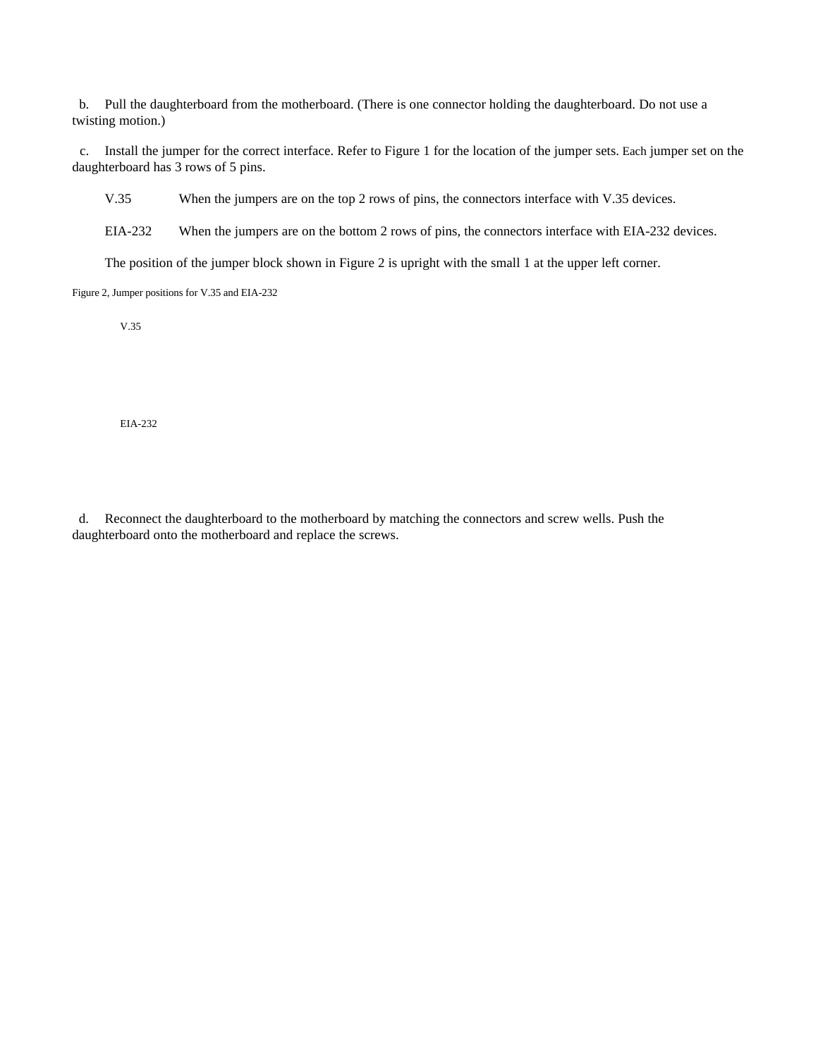b. Pull the daughterboard from the motherboard. (There is one connector holding the daughterboard. Do not use a twisting motion.)

c. Install the jumper for the correct interface. Refer to Figure 1 for the location of the jumper sets. Each jumper set on the daughterboard has 3 rows of 5 pins.

V.35 When the jumpers are on the top 2 rows of pins, the connectors interface with V.35 devices.

EIA-232 When the jumpers are on the bottom 2 rows of pins, the connectors interface with EIA-232 devices.

The position of the jumper block shown in Figure 2 is upright with the small 1 at the upper left corner.

Figure 2, Jumper positions for V.35 and EIA-232

V.35

EIA-232

d. Reconnect the daughterboard to the motherboard by matching the connectors and screw wells. Push the daughterboard onto the motherboard and replace the screws.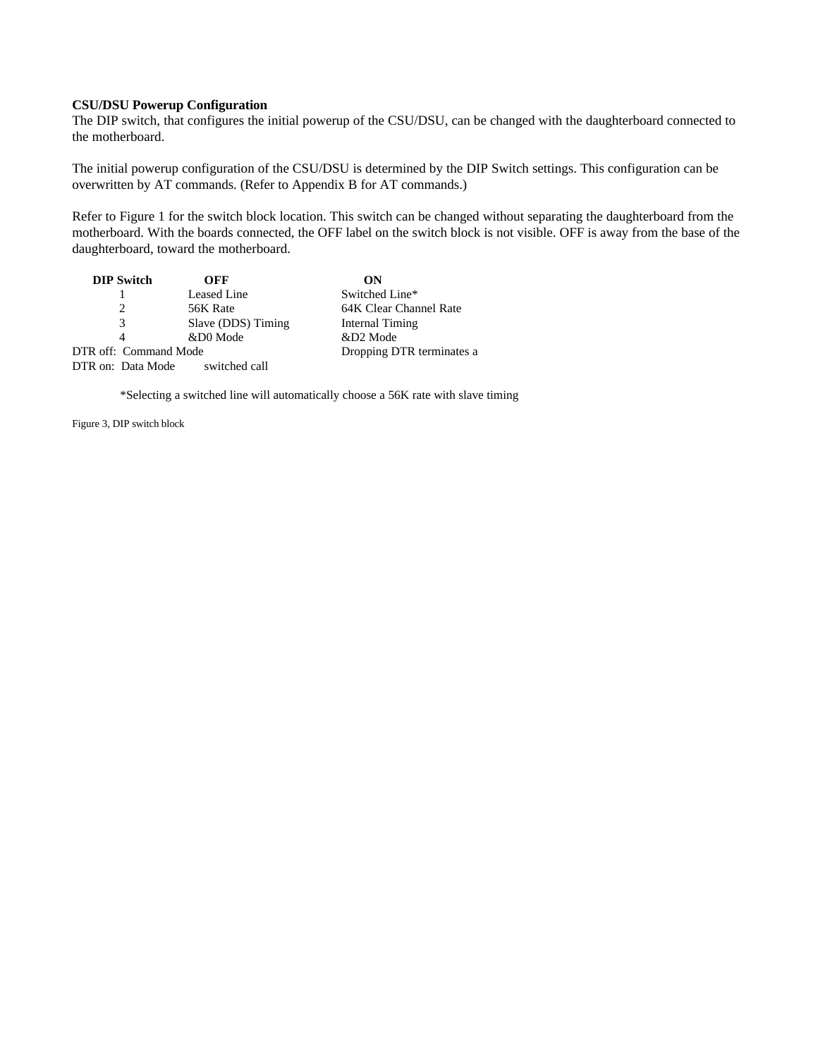#### **CSU/DSU Powerup Configuration**

The DIP switch, that configures the initial powerup of the CSU/DSU, can be changed with the daughterboard connected to the motherboard.

The initial powerup configuration of the CSU/DSU is determined by the DIP Switch settings. This configuration can be overwritten by AT commands. (Refer to Appendix B for AT commands.)

Refer to Figure 1 for the switch block location. This switch can be changed without separating the daughterboard from the motherboard. With the boards connected, the OFF label on the switch block is not visible. OFF is away from the base of the daughterboard, toward the motherboard.

| <b>DIP Switch</b>     | OFF                | ON                        |
|-----------------------|--------------------|---------------------------|
|                       | Leased Line        | Switched Line*            |
|                       | 56K Rate           | 64K Clear Channel Rate    |
| 3                     | Slave (DDS) Timing | Internal Timing           |
| 4                     | &D0 Mode           | &D2 Mode                  |
| DTR off: Command Mode |                    | Dropping DTR terminates a |
| DTR on: Data Mode     | switched call      |                           |

\*Selecting a switched line will automatically choose a 56K rate with slave timing

Figure 3, DIP switch block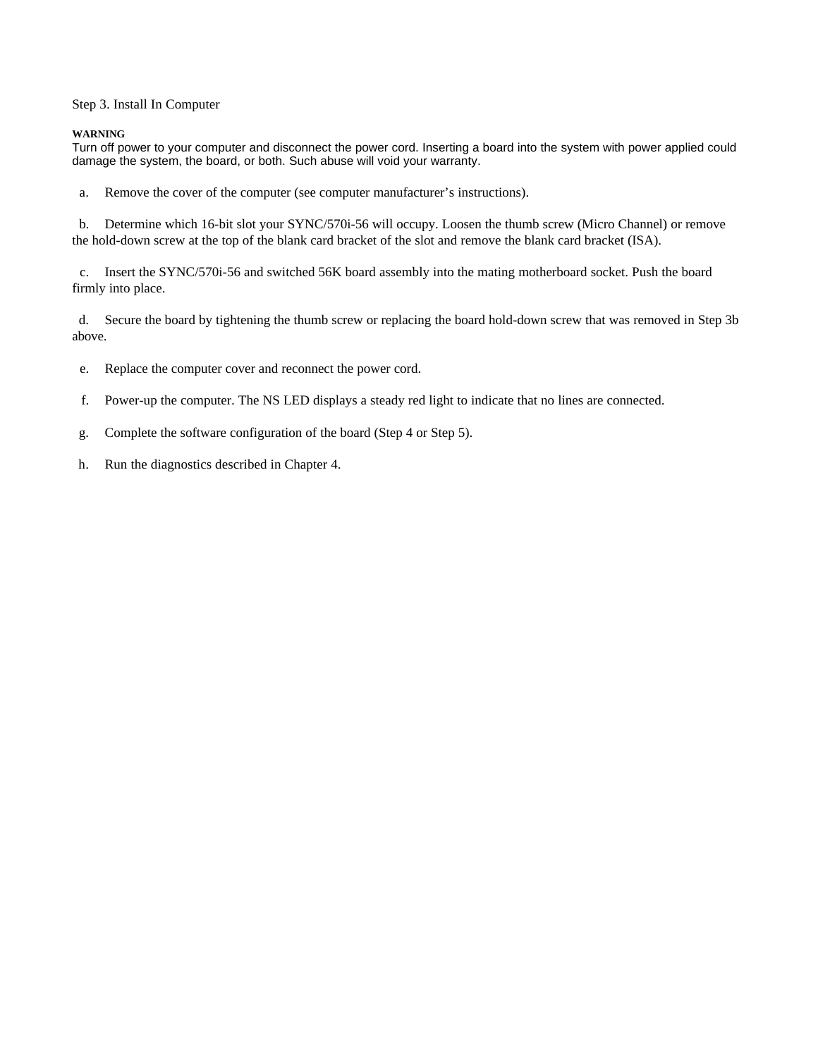Step 3. Install In Computer

#### **WARNING**

Turn off power to your computer and disconnect the power cord. Inserting a board into the system with power applied could damage the system, the board, or both. Such abuse will void your warranty.

a. Remove the cover of the computer (see computer manufacturer's instructions).

b. Determine which 16-bit slot your SYNC/570i-56 will occupy. Loosen the thumb screw (Micro Channel) or remove the hold-down screw at the top of the blank card bracket of the slot and remove the blank card bracket (ISA).

c. Insert the SYNC/570i-56 and switched 56K board assembly into the mating motherboard socket. Push the board firmly into place.

d. Secure the board by tightening the thumb screw or replacing the board hold-down screw that was removed in Step 3b above.

e. Replace the computer cover and reconnect the power cord.

f. Power-up the computer. The NS LED displays a steady red light to indicate that no lines are connected.

- g. Complete the software configuration of the board (Step 4 or Step 5).
- h. Run the diagnostics described in Chapter 4.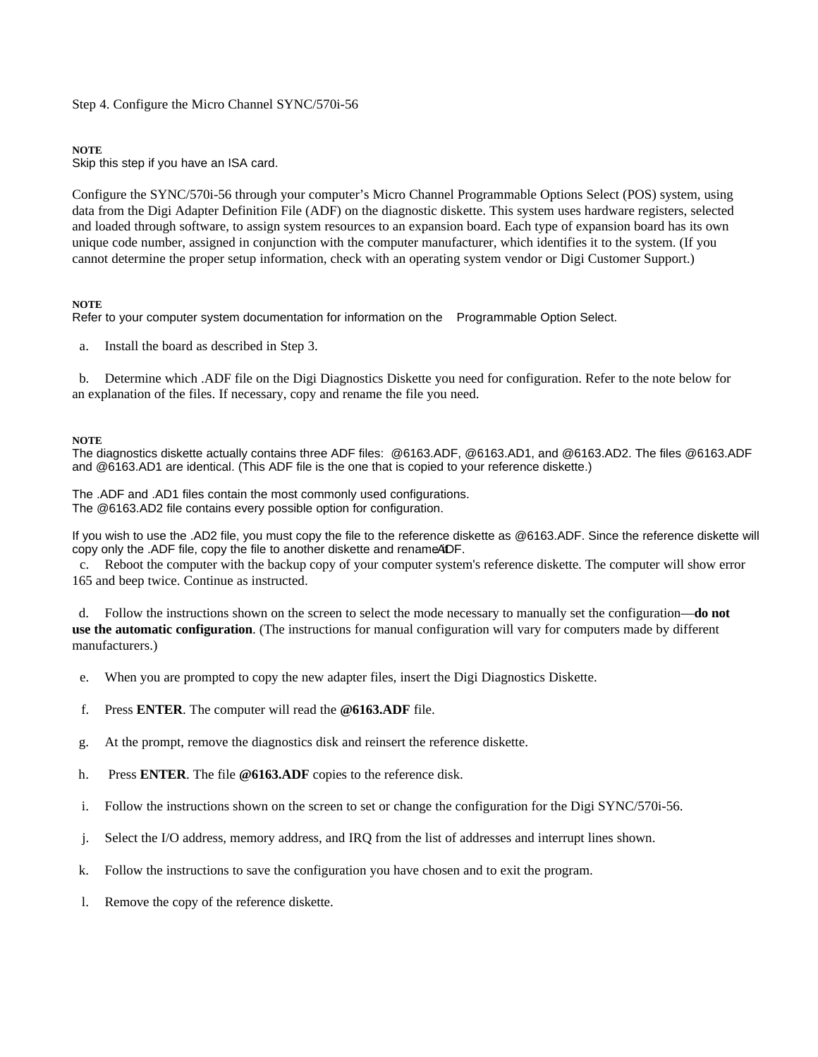Step 4. Configure the Micro Channel SYNC/570i-56

#### **NOTE**

Skip this step if you have an ISA card.

Configure the SYNC/570i-56 through your computer's Micro Channel Programmable Options Select (POS) system, using data from the Digi Adapter Definition File (ADF) on the diagnostic diskette. This system uses hardware registers, selected and loaded through software, to assign system resources to an expansion board. Each type of expansion board has its own unique code number, assigned in conjunction with the computer manufacturer, which identifies it to the system. (If you cannot determine the proper setup information, check with an operating system vendor or Digi Customer Support.)

### **NOTE**

Refer to your computer system documentation for information on the Programmable Option Select.

a. Install the board as described in Step 3.

b. Determine which .ADF file on the Digi Diagnostics Diskette you need for configuration. Refer to the note below for an explanation of the files. If necessary, copy and rename the file you need.

#### **NOTE**

The diagnostics diskette actually contains three ADF files: @6163.ADF, @6163.AD1, and @6163.AD2. The files @6163.ADF and @6163.AD1 are identical. (This ADF file is the one that is copied to your reference diskette.)

The .ADF and .AD1 files contain the most commonly used configurations. The @6163.AD2 file contains every possible option for configuration.

If you wish to use the .AD2 file, you must copy the file to the reference diskette as @6163.ADF. Since the reference diskette will copy only the .ADF file, copy the file to another diskette and rename ADF.

c. Reboot the computer with the backup copy of your computer system's reference diskette. The computer will show error 165 and beep twice. Continue as instructed.

d. Follow the instructions shown on the screen to select the mode necessary to manually set the configuration—**do not use the automatic configuration**. (The instructions for manual configuration will vary for computers made by different manufacturers.)

- e. When you are prompted to copy the new adapter files, insert the Digi Diagnostics Diskette.
- f. Press **ENTER**. The computer will read the **@6163.ADF** file.
- g. At the prompt, remove the diagnostics disk and reinsert the reference diskette.
- h. Press **ENTER**. The file **@6163.ADF** copies to the reference disk.
- i. Follow the instructions shown on the screen to set or change the configuration for the Digi SYNC/570i-56.
- j. Select the I/O address, memory address, and IRQ from the list of addresses and interrupt lines shown.
- k. Follow the instructions to save the configuration you have chosen and to exit the program.
- l. Remove the copy of the reference diskette.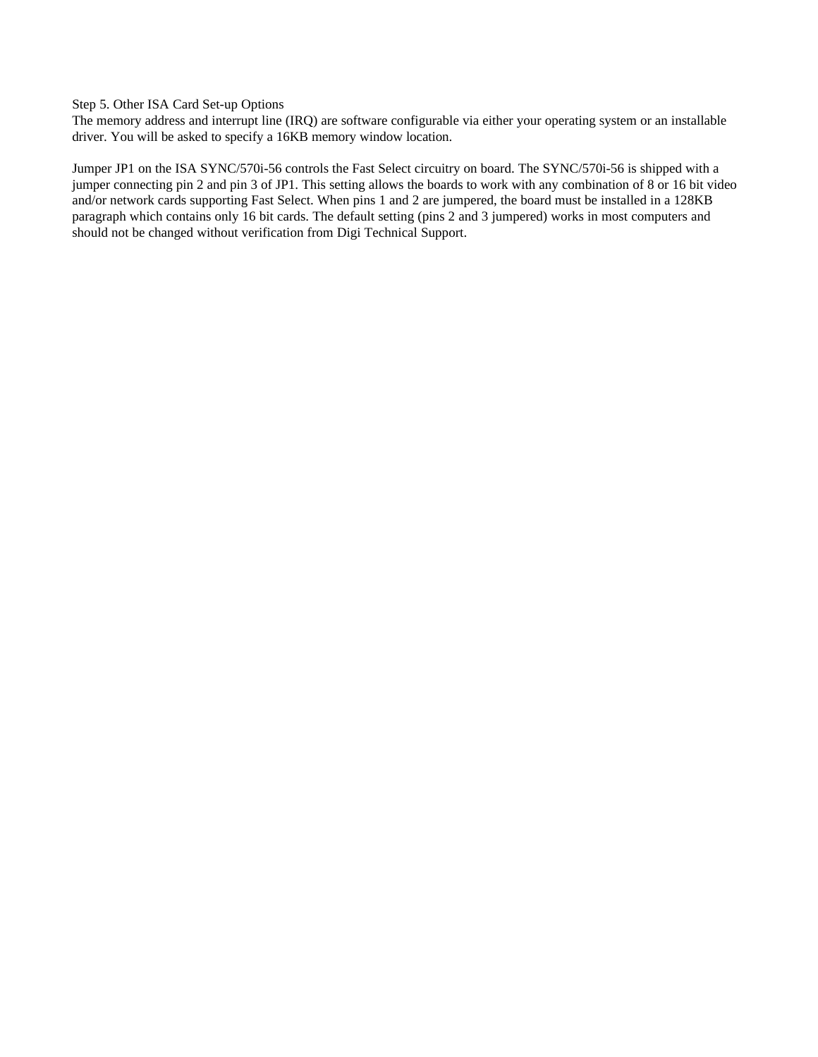Step 5. Other ISA Card Set-up Options

The memory address and interrupt line (IRQ) are software configurable via either your operating system or an installable driver. You will be asked to specify a 16KB memory window location.

Jumper JP1 on the ISA SYNC/570i-56 controls the Fast Select circuitry on board. The SYNC/570i-56 is shipped with a jumper connecting pin 2 and pin 3 of JP1. This setting allows the boards to work with any combination of 8 or 16 bit video and/or network cards supporting Fast Select. When pins 1 and 2 are jumpered, the board must be installed in a 128KB paragraph which contains only 16 bit cards. The default setting (pins 2 and 3 jumpered) works in most computers and should not be changed without verification from Digi Technical Support.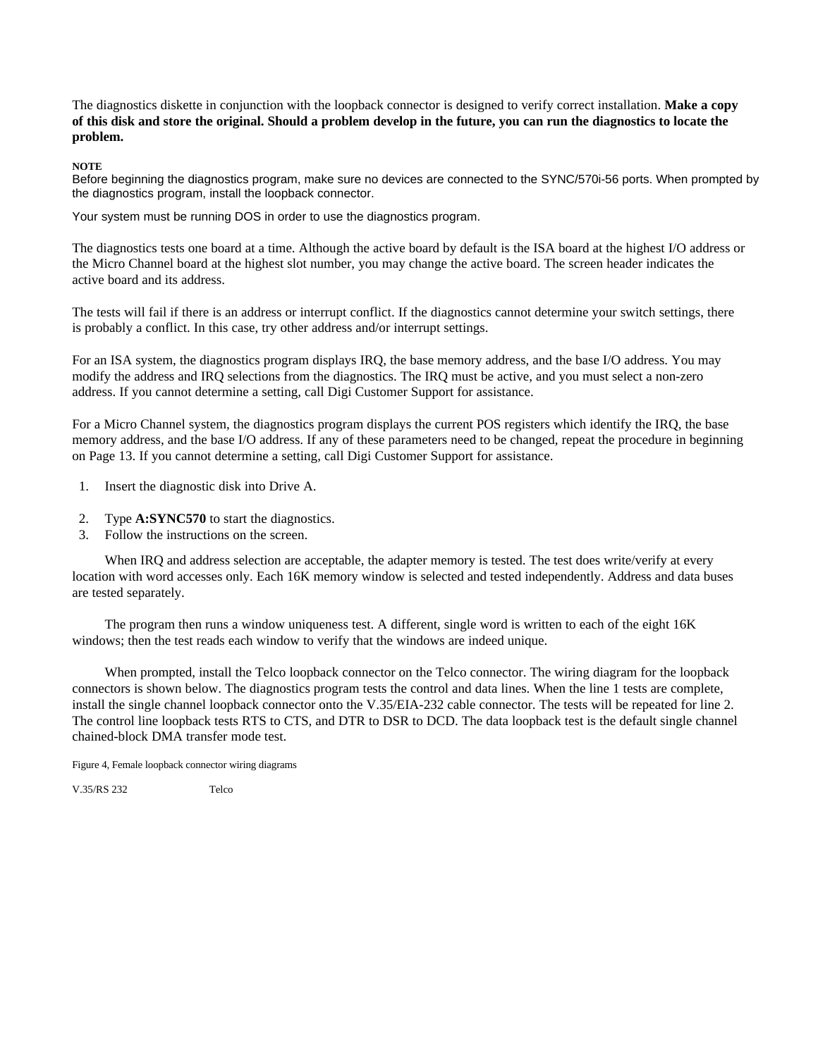The diagnostics diskette in conjunction with the loopback connector is designed to verify correct installation. **Make a copy of this disk and store the original. Should a problem develop in the future, you can run the diagnostics to locate the problem.**

**NOTE**

Before beginning the diagnostics program, make sure no devices are connected to the SYNC/570i-56 ports. When prompted by the diagnostics program, install the loopback connector.

Your system must be running DOS in order to use the diagnostics program.

The diagnostics tests one board at a time. Although the active board by default is the ISA board at the highest I/O address or the Micro Channel board at the highest slot number, you may change the active board. The screen header indicates the active board and its address.

The tests will fail if there is an address or interrupt conflict. If the diagnostics cannot determine your switch settings, there is probably a conflict. In this case, try other address and/or interrupt settings.

For an ISA system, the diagnostics program displays IRQ, the base memory address, and the base I/O address. You may modify the address and IRQ selections from the diagnostics. The IRQ must be active, and you must select a non-zero address. If you cannot determine a setting, call Digi Customer Support for assistance.

For a Micro Channel system, the diagnostics program displays the current POS registers which identify the IRQ, the base memory address, and the base I/O address. If any of these parameters need to be changed, repeat the procedure in beginning on Page 13. If you cannot determine a setting, call Digi Customer Support for assistance.

- 1. Insert the diagnostic disk into Drive A.
- 2. Type **A:SYNC570** to start the diagnostics.
- 3. Follow the instructions on the screen.

When IRQ and address selection are acceptable, the adapter memory is tested. The test does write/verify at every location with word accesses only. Each 16K memory window is selected and tested independently. Address and data buses are tested separately.

The program then runs a window uniqueness test. A different, single word is written to each of the eight 16K windows; then the test reads each window to verify that the windows are indeed unique.

When prompted, install the Telco loopback connector on the Telco connector. The wiring diagram for the loopback connectors is shown below. The diagnostics program tests the control and data lines. When the line 1 tests are complete, install the single channel loopback connector onto the V.35/EIA-232 cable connector. The tests will be repeated for line 2. The control line loopback tests RTS to CTS, and DTR to DSR to DCD. The data loopback test is the default single channel chained-block DMA transfer mode test.

Figure 4, Female loopback connector wiring diagrams

V.35/RS 232 Telco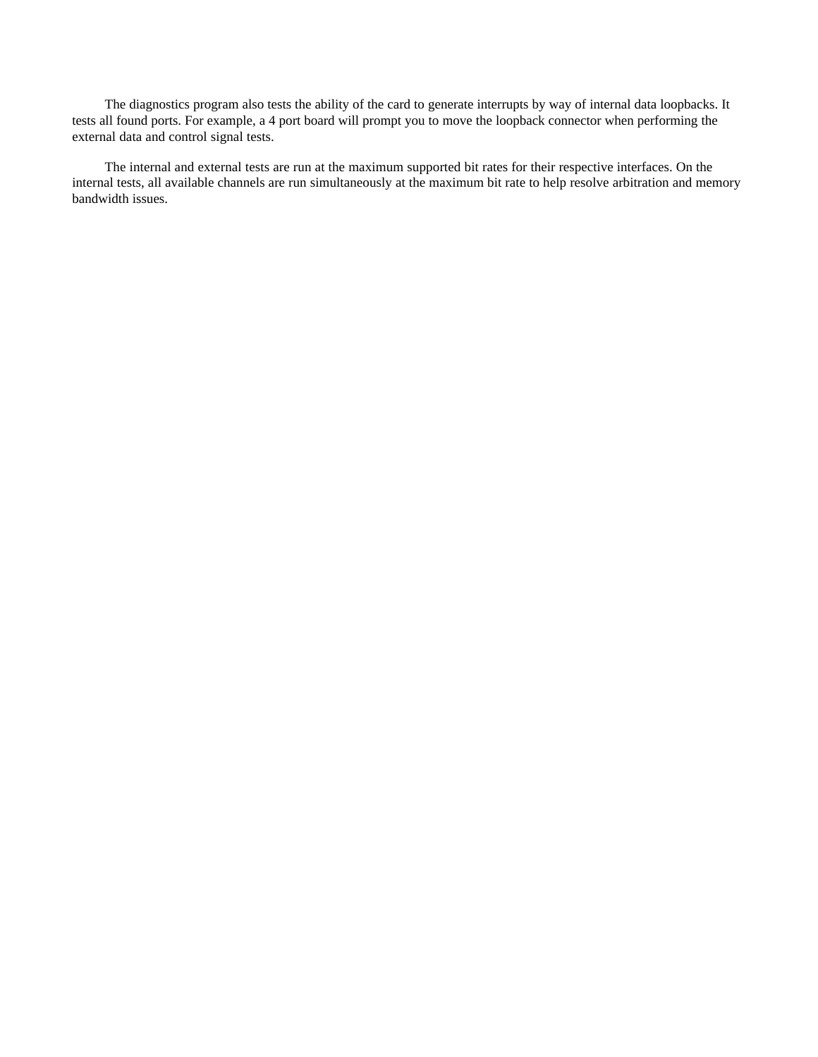The diagnostics program also tests the ability of the card to generate interrupts by way of internal data loopbacks. It tests all found ports. For example, a 4 port board will prompt you to move the loopback connector when performing the external data and control signal tests.

The internal and external tests are run at the maximum supported bit rates for their respective interfaces. On the internal tests, all available channels are run simultaneously at the maximum bit rate to help resolve arbitration and memory bandwidth issues.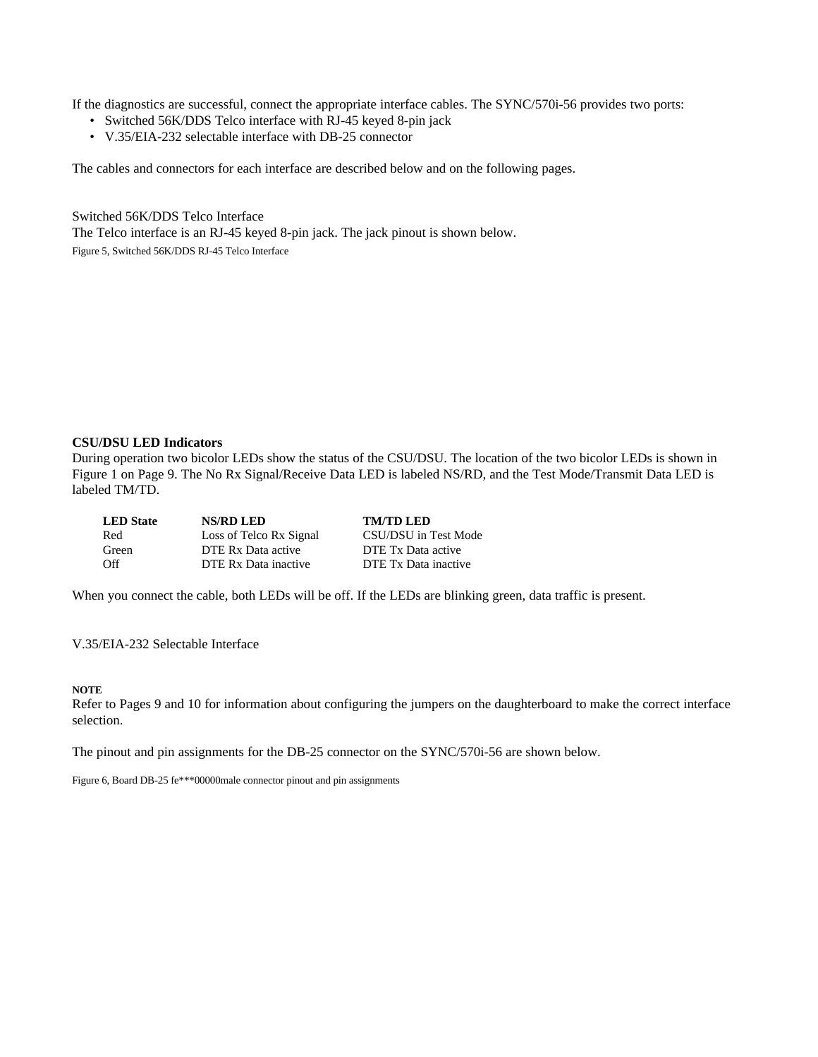If the diagnostics are successful, connect the appropriate interface cables. The SYNC/570i-56 provides two ports:

- Switched 56K/DDS Telco interface with RJ-45 keyed 8-pin jack
- V.35/EIA-232 selectable interface with DB-25 connector

The cables and connectors for each interface are described below and on the following pages.

Switched 56K/DDS Telco Interface The Telco interface is an RJ-45 keyed 8-pin jack. The jack pinout is shown below. Figure 5, Switched 56K/DDS RJ-45 Telco Interface

#### **CSU/DSU LED Indicators**

During operation two bicolor LEDs show the status of the CSU/DSU. The location of the two bicolor LEDs is shown in Figure 1 on Page 9. The No Rx Signal/Receive Data LED is labeled NS/RD, and the Test Mode/Transmit Data LED is labeled TM/TD.

| <b>LED</b> State | <b>NS/RD LED</b>        | <b>TM/TD LED</b>     |
|------------------|-------------------------|----------------------|
| Red              | Loss of Telco Rx Signal | CSU/DSU in Test Mode |
| Green            | DTE Rx Data active      | DTE Tx Data active   |
| Off              | DTE Rx Data inactive    | DTE Tx Data inactive |

When you connect the cable, both LEDs will be off. If the LEDs are blinking green, data traffic is present.

V.35/EIA-232 Selectable Interface

### **NOTE**

Refer to Pages 9 and 10 for information about configuring the jumpers on the daughterboard to make the correct interface selection.

The pinout and pin assignments for the DB-25 connector on the SYNC/570i-56 are shown below.

Figure 6, Board DB-25 fe\*\*\*00000male connector pinout and pin assignments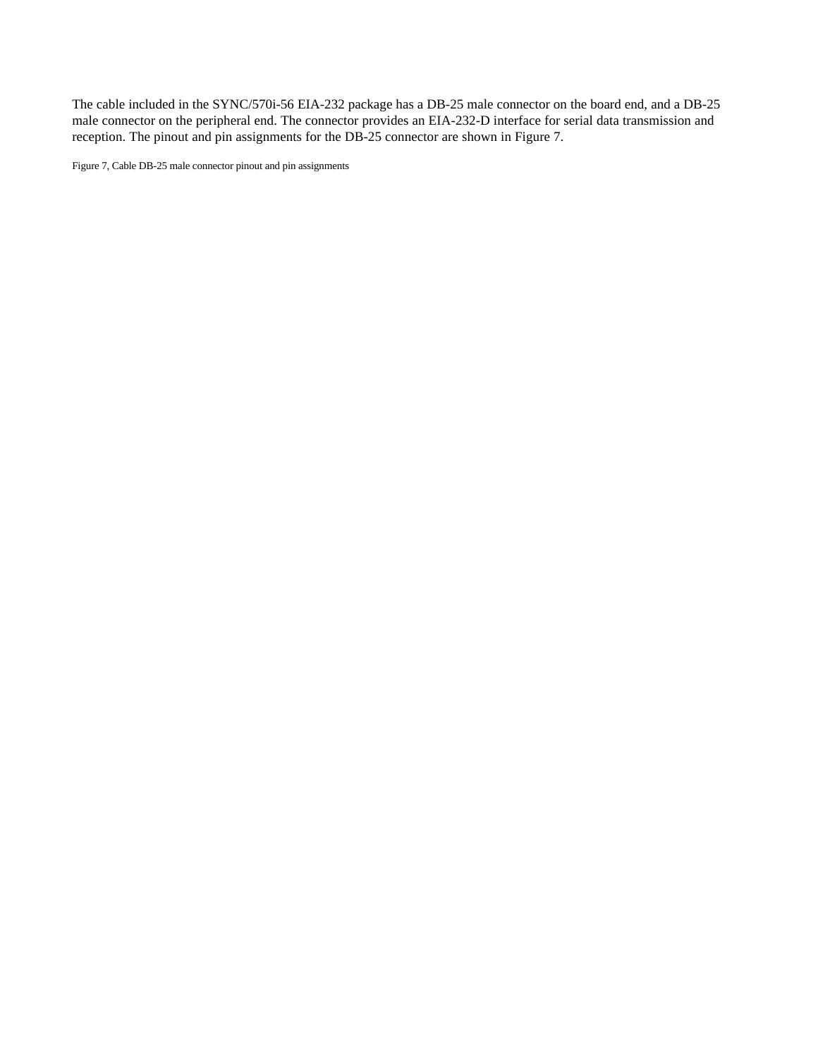The cable included in the SYNC/570i-56 EIA-232 package has a DB-25 male connector on the board end, and a DB-25 male connector on the peripheral end. The connector provides an EIA-232-D interface for serial data transmission and reception. The pinout and pin assignments for the DB-25 connector are shown in Figure 7.

Figure 7, Cable DB-25 male connector pinout and pin assignments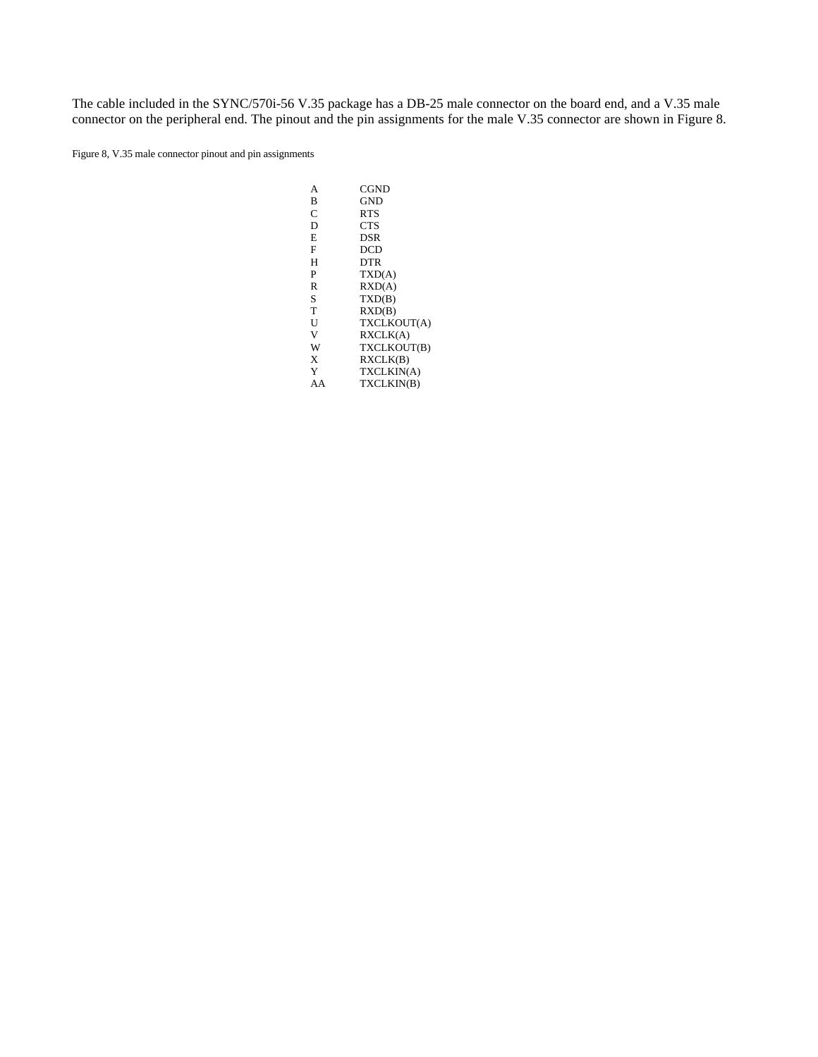The cable included in the SYNC/570i-56 V.35 package has a DB-25 male connector on the board end, and a V.35 male connector on the peripheral end. The pinout and the pin assignments for the male V.35 connector are shown in Figure 8.

Figure 8, V.35 male connector pinout and pin assignments

| А  | CGND            |
|----|-----------------|
| B  | <b>GND</b>      |
| C  | <b>RTS</b>      |
| D  | <b>CTS</b>      |
| E  | <b>DSR</b>      |
| F  | DCD             |
| н  | <b>DTR</b>      |
| P  | TXD(A)          |
| R  | $\text{RXD}(A)$ |
| S  | TXD(B)          |
| T  | RXD(B)          |
| U  | TXCLKOUT(A)     |
| V  | RXCLK(A)        |
| W  | TXCLKOUT(B)     |
| X  | RXCLK(B)        |
| Y  | TXCLKIN(A)      |
| AA | TXCLKIN(B)      |
|    |                 |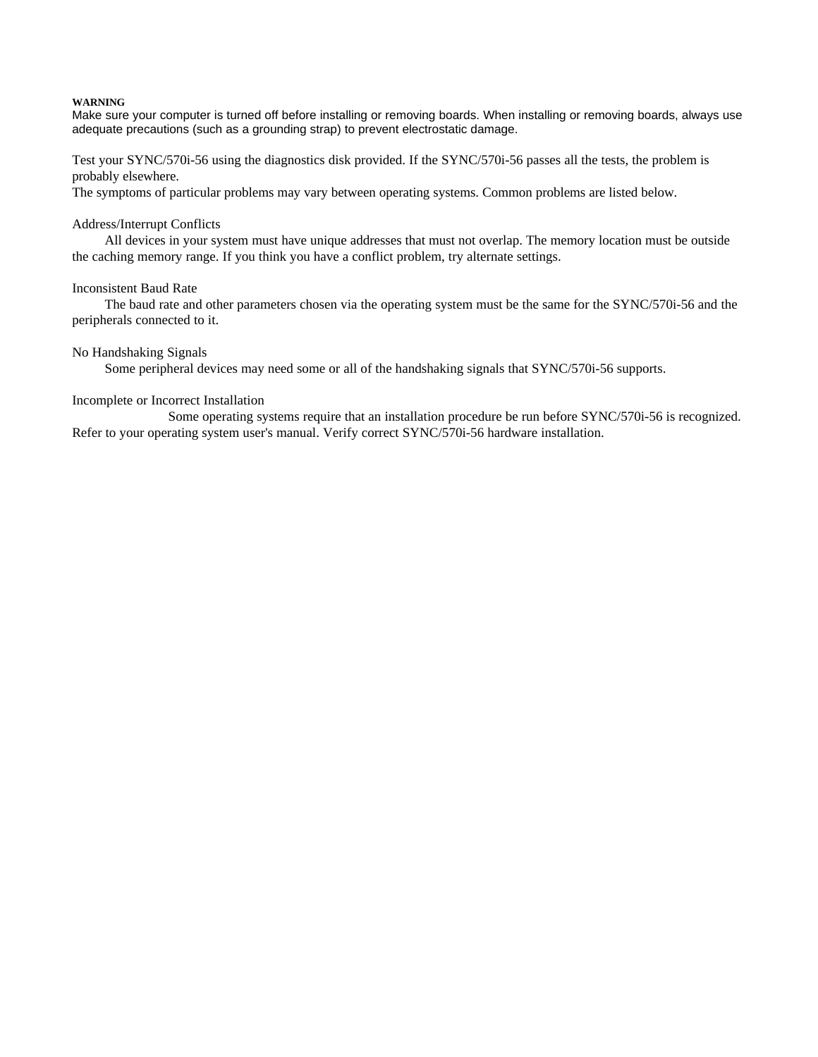#### **WARNING**

Make sure your computer is turned off before installing or removing boards. When installing or removing boards, always use adequate precautions (such as a grounding strap) to prevent electrostatic damage.

Test your SYNC/570i-56 using the diagnostics disk provided. If the SYNC/570i-56 passes all the tests, the problem is probably elsewhere.

The symptoms of particular problems may vary between operating systems. Common problems are listed below.

#### Address/Interrupt Conflicts

All devices in your system must have unique addresses that must not overlap. The memory location must be outside the caching memory range. If you think you have a conflict problem, try alternate settings.

#### Inconsistent Baud Rate

The baud rate and other parameters chosen via the operating system must be the same for the SYNC/570i-56 and the peripherals connected to it.

#### No Handshaking Signals

Some peripheral devices may need some or all of the handshaking signals that SYNC/570i-56 supports.

#### Incomplete or Incorrect Installation

Some operating systems require that an installation procedure be run before SYNC/570i-56 is recognized. Refer to your operating system user's manual. Verify correct SYNC/570i-56 hardware installation.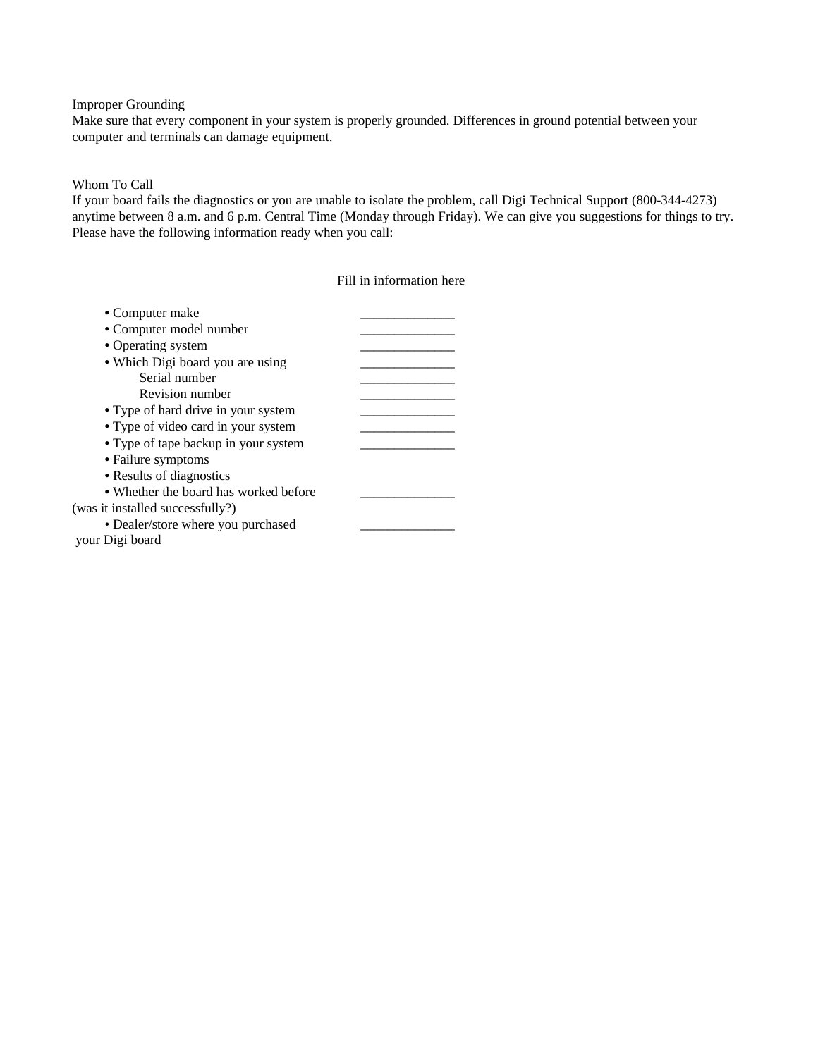#### Improper Grounding

Make sure that every component in your system is properly grounded. Differences in ground potential between your computer and terminals can damage equipment.

## Whom To Call

If your board fails the diagnostics or you are unable to isolate the problem, call Digi Technical Support (800-344-4273) anytime between 8 a.m. and 6 p.m. Central Time (Monday through Friday). We can give you suggestions for things to try. Please have the following information ready when you call:

### Fill in information here

| • Computer make                       |  |
|---------------------------------------|--|
| • Computer model number               |  |
| • Operating system                    |  |
| • Which Digi board you are using      |  |
| Serial number                         |  |
| Revision number                       |  |
| • Type of hard drive in your system   |  |
| • Type of video card in your system   |  |
| • Type of tape backup in your system  |  |
| • Failure symptoms                    |  |
| • Results of diagnostics              |  |
| • Whether the board has worked before |  |
| (was it installed successfully?)      |  |
| • Dealer/store where you purchased    |  |
| your Digi board                       |  |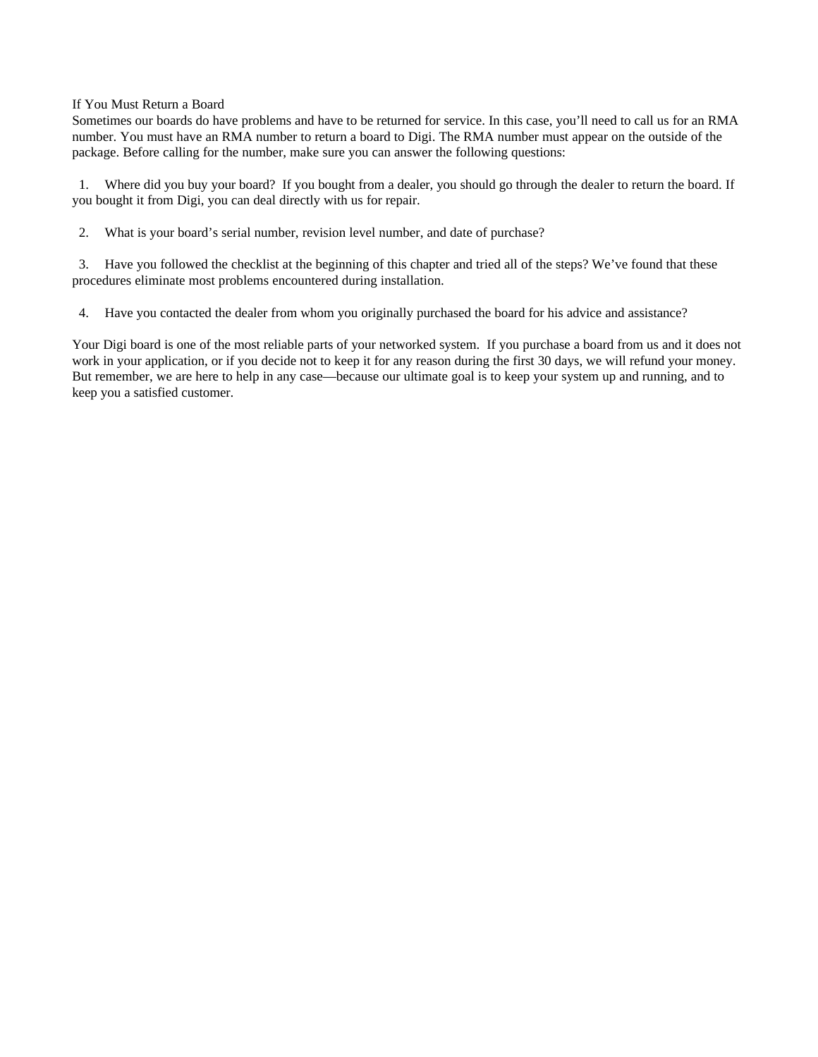#### If You Must Return a Board

Sometimes our boards do have problems and have to be returned for service. In this case, you'll need to call us for an RMA number. You must have an RMA number to return a board to Digi. The RMA number must appear on the outside of the package. Before calling for the number, make sure you can answer the following questions:

1. Where did you buy your board? If you bought from a dealer, you should go through the dealer to return the board. If you bought it from Digi, you can deal directly with us for repair.

2. What is your board's serial number, revision level number, and date of purchase?

3. Have you followed the checklist at the beginning of this chapter and tried all of the steps? We've found that these procedures eliminate most problems encountered during installation.

4. Have you contacted the dealer from whom you originally purchased the board for his advice and assistance?

Your Digi board is one of the most reliable parts of your networked system. If you purchase a board from us and it does not work in your application, or if you decide not to keep it for any reason during the first 30 days, we will refund your money. But remember, we are here to help in any case—because our ultimate goal is to keep your system up and running, and to keep you a satisfied customer.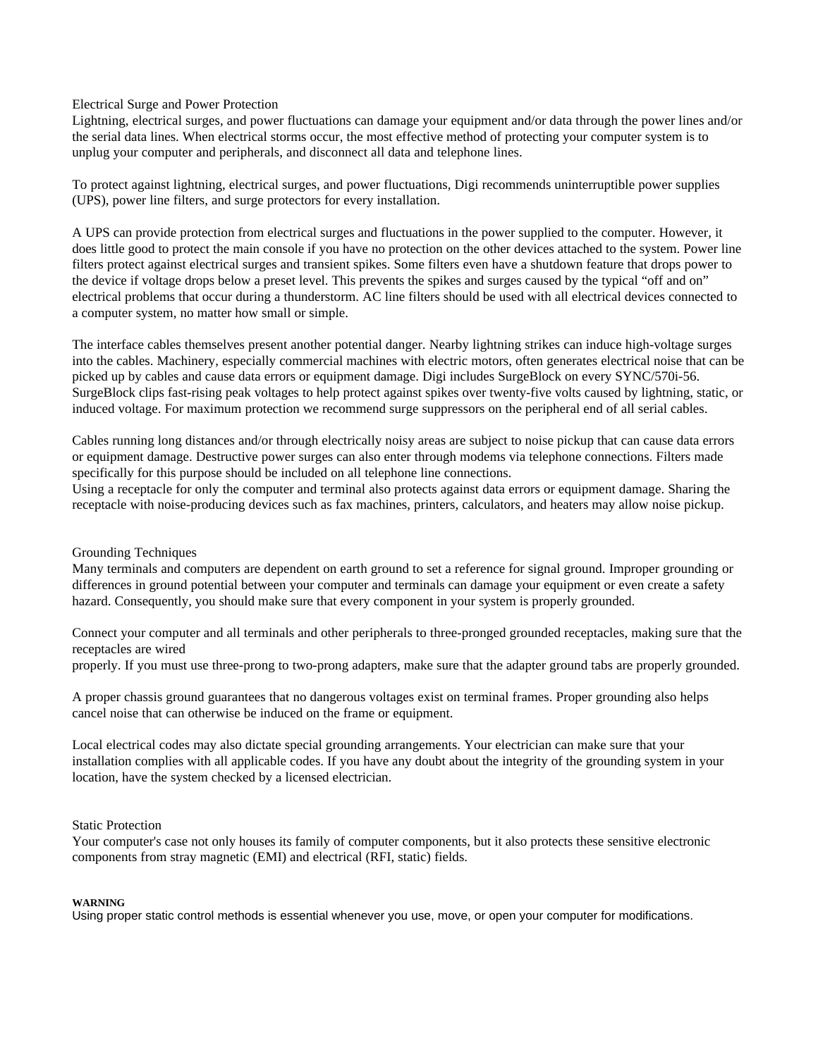Electrical Surge and Power Protection

Lightning, electrical surges, and power fluctuations can damage your equipment and/or data through the power lines and/or the serial data lines. When electrical storms occur, the most effective method of protecting your computer system is to unplug your computer and peripherals, and disconnect all data and telephone lines.

To protect against lightning, electrical surges, and power fluctuations, Digi recommends uninterruptible power supplies (UPS), power line filters, and surge protectors for every installation.

A UPS can provide protection from electrical surges and fluctuations in the power supplied to the computer. However, it does little good to protect the main console if you have no protection on the other devices attached to the system. Power line filters protect against electrical surges and transient spikes. Some filters even have a shutdown feature that drops power to the device if voltage drops below a preset level. This prevents the spikes and surges caused by the typical "off and on" electrical problems that occur during a thunderstorm. AC line filters should be used with all electrical devices connected to a computer system, no matter how small or simple.

The interface cables themselves present another potential danger. Nearby lightning strikes can induce high-voltage surges into the cables. Machinery, especially commercial machines with electric motors, often generates electrical noise that can be picked up by cables and cause data errors or equipment damage. Digi includes SurgeBlock on every SYNC/570i-56. SurgeBlock clips fast-rising peak voltages to help protect against spikes over twenty-five volts caused by lightning, static, or induced voltage. For maximum protection we recommend surge suppressors on the peripheral end of all serial cables.

Cables running long distances and/or through electrically noisy areas are subject to noise pickup that can cause data errors or equipment damage. Destructive power surges can also enter through modems via telephone connections. Filters made specifically for this purpose should be included on all telephone line connections.

Using a receptacle for only the computer and terminal also protects against data errors or equipment damage. Sharing the receptacle with noise-producing devices such as fax machines, printers, calculators, and heaters may allow noise pickup.

#### Grounding Techniques

Many terminals and computers are dependent on earth ground to set a reference for signal ground. Improper grounding or differences in ground potential between your computer and terminals can damage your equipment or even create a safety hazard. Consequently, you should make sure that every component in your system is properly grounded.

Connect your computer and all terminals and other peripherals to three-pronged grounded receptacles, making sure that the receptacles are wired

properly. If you must use three-prong to two-prong adapters, make sure that the adapter ground tabs are properly grounded.

A proper chassis ground guarantees that no dangerous voltages exist on terminal frames. Proper grounding also helps cancel noise that can otherwise be induced on the frame or equipment.

Local electrical codes may also dictate special grounding arrangements. Your electrician can make sure that your installation complies with all applicable codes. If you have any doubt about the integrity of the grounding system in your location, have the system checked by a licensed electrician.

#### Static Protection

Your computer's case not only houses its family of computer components, but it also protects these sensitive electronic components from stray magnetic (EMI) and electrical (RFI, static) fields.

#### **WARNING**

Using proper static control methods is essential whenever you use, move, or open your computer for modifications.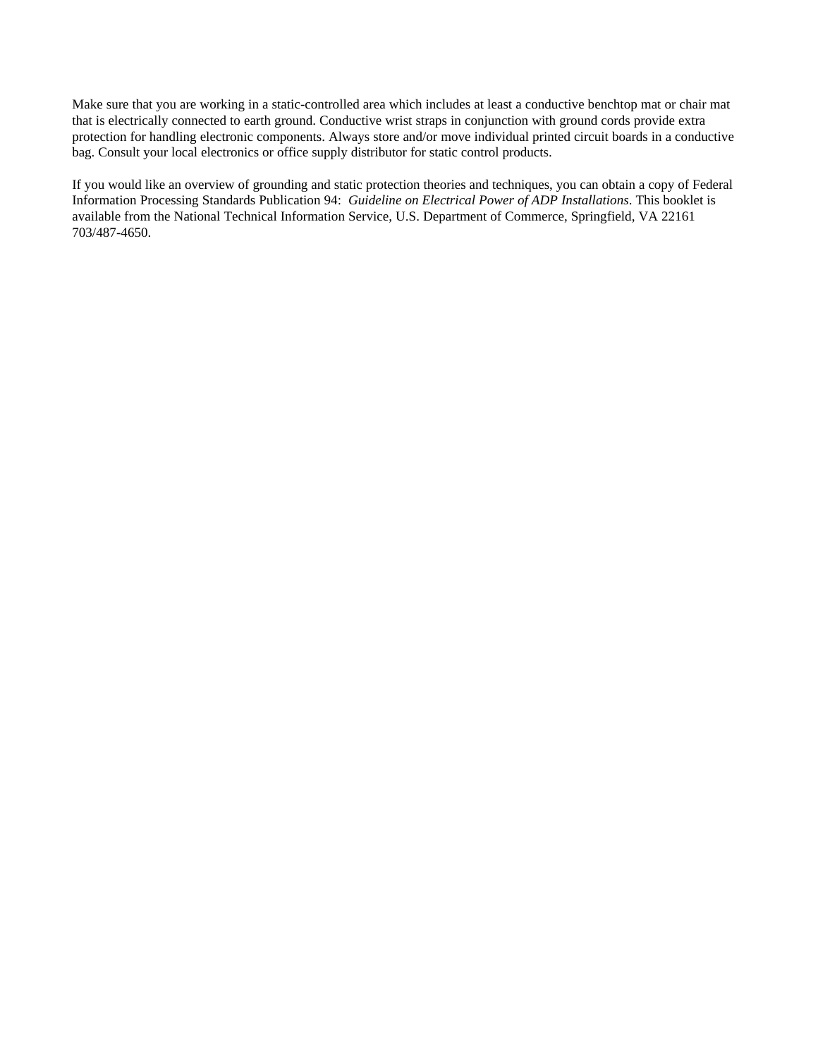Make sure that you are working in a static-controlled area which includes at least a conductive benchtop mat or chair mat that is electrically connected to earth ground. Conductive wrist straps in conjunction with ground cords provide extra protection for handling electronic components. Always store and/or move individual printed circuit boards in a conductive bag. Consult your local electronics or office supply distributor for static control products.

If you would like an overview of grounding and static protection theories and techniques, you can obtain a copy of Federal Information Processing Standards Publication 94: *Guideline on Electrical Power of ADP Installations*. This booklet is available from the National Technical Information Service, U.S. Department of Commerce, Springfield, VA 22161 703/487-4650.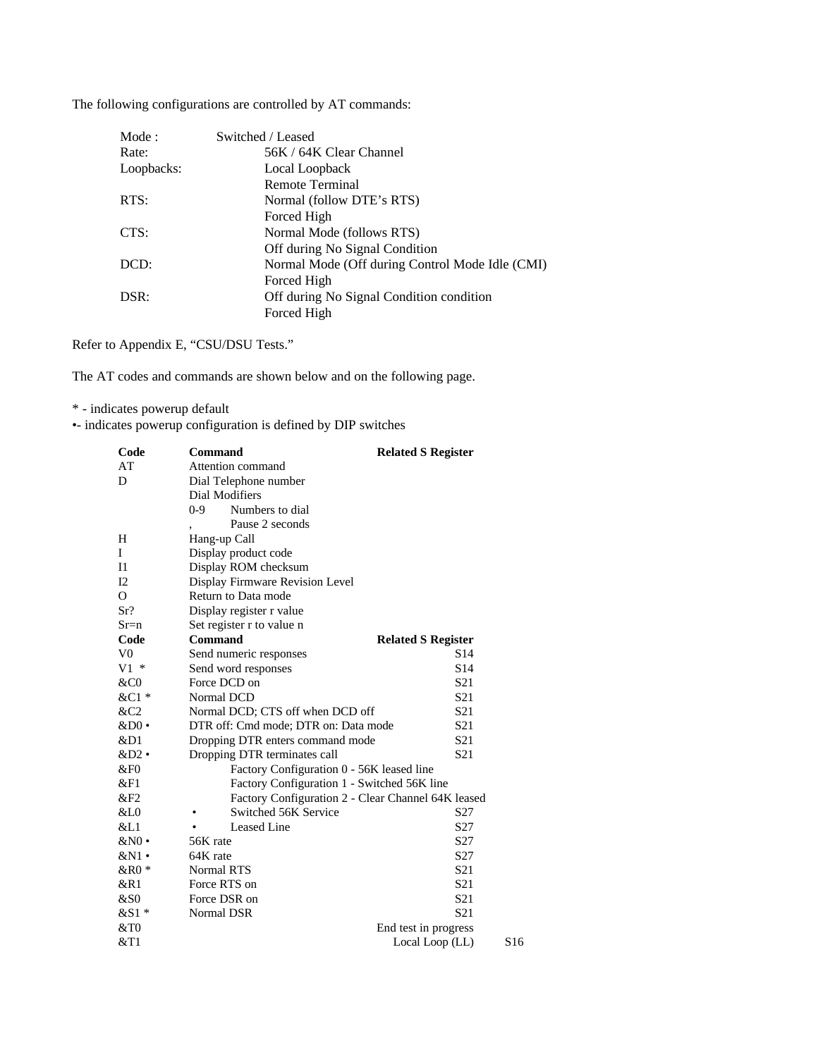The following configurations are controlled by AT commands:

| Mode:      | Switched / Leased                               |  |
|------------|-------------------------------------------------|--|
| Rate:      | 56K / 64K Clear Channel                         |  |
| Loopbacks: | Local Loopback                                  |  |
|            | Remote Terminal                                 |  |
| RTS:       | Normal (follow DTE's RTS)                       |  |
|            | Forced High                                     |  |
| CTS:       | Normal Mode (follows RTS)                       |  |
|            | Off during No Signal Condition                  |  |
| DCD:       | Normal Mode (Off during Control Mode Idle (CMI) |  |
|            | Forced High                                     |  |
| DSR:       | Off during No Signal Condition condition        |  |
|            | Forced High                                     |  |

Refer to Appendix E, "CSU/DSU Tests."

The AT codes and commands are shown below and on the following page.

\* - indicates powerup default

•- indicates powerup configuration is defined by DIP switches

| Code           | <b>Command</b>                                     | <b>Related S Register</b> |                 |
|----------------|----------------------------------------------------|---------------------------|-----------------|
| AT             | Attention command                                  |                           |                 |
| D              | Dial Telephone number                              |                           |                 |
|                | Dial Modifiers                                     |                           |                 |
|                | Numbers to dial<br>0-9                             |                           |                 |
|                | Pause 2 seconds                                    |                           |                 |
| H              | Hang-up Call                                       |                           |                 |
| I              | Display product code                               |                           |                 |
| I <sub>1</sub> | Display ROM checksum                               |                           |                 |
| I2             | Display Firmware Revision Level                    |                           |                 |
| $\Omega$       | Return to Data mode                                |                           |                 |
| Sr?            | Display register r value                           |                           |                 |
| $S_{r=n}$      | Set register r to value n                          |                           |                 |
| Code           | <b>Command</b>                                     | <b>Related S Register</b> |                 |
| V <sub>0</sub> | Send numeric responses                             | S <sub>14</sub>           |                 |
| $V1*$          | Send word responses                                | S <sub>14</sub>           |                 |
| &C0            | Force DCD on                                       | S <sub>21</sub>           |                 |
| &C1 *          | Normal DCD                                         | S <sub>21</sub>           |                 |
| &C2            | Normal DCD; CTS off when DCD off                   | S <sub>21</sub>           |                 |
| $&D0$ •        | DTR off: Cmd mode; DTR on: Data mode               | S <sub>21</sub>           |                 |
| &D1            | Dropping DTR enters command mode                   | S <sub>21</sub>           |                 |
| $&D2$ .        | Dropping DTR terminates call                       | S <sub>21</sub>           |                 |
| &F0            | Factory Configuration 0 - 56K leased line          |                           |                 |
| &F1            | Factory Configuration 1 - Switched 56K line        |                           |                 |
| &F2            | Factory Configuration 2 - Clear Channel 64K leased |                           |                 |
| &L0            | Switched 56K Service                               | S <sub>27</sub>           |                 |
| &L1            | Leased Line                                        | S <sub>27</sub>           |                 |
| $&N0$ •        | 56K rate                                           | S27                       |                 |
| $&N1$ •        | 64K rate                                           | S <sub>27</sub>           |                 |
| $&R0*$         | <b>Normal RTS</b>                                  | S <sub>21</sub>           |                 |
| &R1            | Force RTS on                                       | S <sub>21</sub>           |                 |
| &S0            | Force DSR on                                       | S <sub>21</sub>           |                 |
| &S1 *          | Normal DSR                                         | S <sub>21</sub>           |                 |
| &0             |                                                    | End test in progress      |                 |
| $&$ T1         |                                                    | Local Loop (LL)           | S <sub>16</sub> |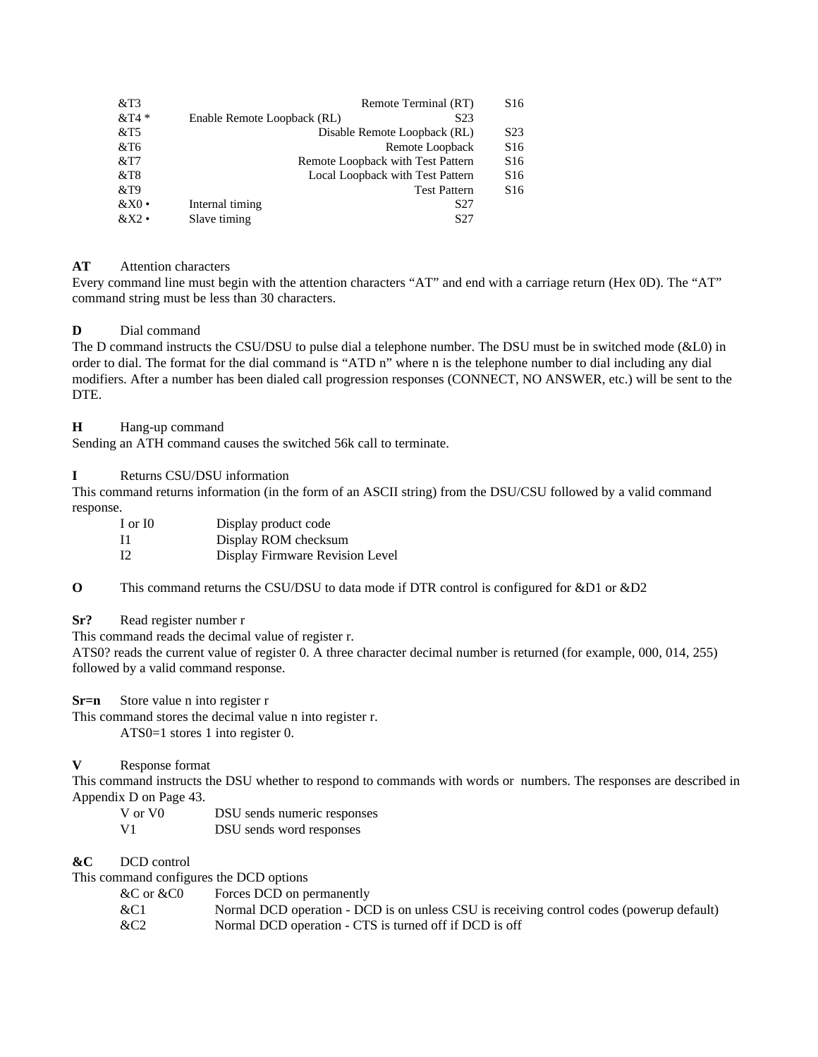| &T3     |                             | Remote Terminal (RT)              | S <sub>16</sub>  |
|---------|-----------------------------|-----------------------------------|------------------|
| $&T4*$  | Enable Remote Loopback (RL) | S <sub>2</sub> 3                  |                  |
| $&$ T5  |                             | Disable Remote Loopback (RL)      | S <sub>2</sub> 3 |
| $&$ T6  |                             | Remote Loopback                   | S <sub>16</sub>  |
| $&$ T7  |                             | Remote Loopback with Test Pattern | S <sub>16</sub>  |
| $&$ T8  |                             | Local Loopback with Test Pattern  | S <sub>16</sub>  |
| &T9     |                             | <b>Test Pattern</b>               | S <sub>16</sub>  |
| &X0     | Internal timing             | S <sub>27</sub>                   |                  |
| $&X2$ • | Slave timing                | S27                               |                  |

## **AT** Attention characters

Every command line must begin with the attention characters "AT" and end with a carriage return (Hex 0D). The "AT" command string must be less than 30 characters.

## **D** Dial command

The D command instructs the CSU/DSU to pulse dial a telephone number. The DSU must be in switched mode (&L0) in order to dial. The format for the dial command is "ATD n" where n is the telephone number to dial including any dial modifiers. After a number has been dialed call progression responses (CONNECT, NO ANSWER, etc.) will be sent to the DTE.

## **H** Hang-up command

Sending an ATH command causes the switched 56k call to terminate.

## **I** Returns CSU/DSU information

This command returns information (in the form of an ASCII string) from the DSU/CSU followed by a valid command response.

| I or IO       | Display product code            |
|---------------|---------------------------------|
| - 11          | Display ROM checksum            |
| <sup>12</sup> | Display Firmware Revision Level |

**O** This command returns the CSU/DSU to data mode if DTR control is configured for &D1 or &D2

## **Sr?** Read register number r

This command reads the decimal value of register r.

ATS0? reads the current value of register 0. A three character decimal number is returned (for example, 000, 014, 255) followed by a valid command response.

**Sr=n** Store value n into register r

This command stores the decimal value n into register r.

ATS0=1 stores 1 into register 0.

## **V** Response format

This command instructs the DSU whether to respond to commands with words or numbers. The responses are described in Appendix D on Page 43.

V or V0 DSU sends numeric responses

V1 DSU sends word responses

## **&C** DCD control

This command configures the DCD options

| $&C$ or $&C0$ | Forces DCD on permanently |
|---------------|---------------------------|
|---------------|---------------------------|

| &C1 | Normal DCD operation - DCD is on unless CSU is receiving control codes (powerup default) |
|-----|------------------------------------------------------------------------------------------|
| &C2 | Normal DCD operation - CTS is turned off if DCD is off                                   |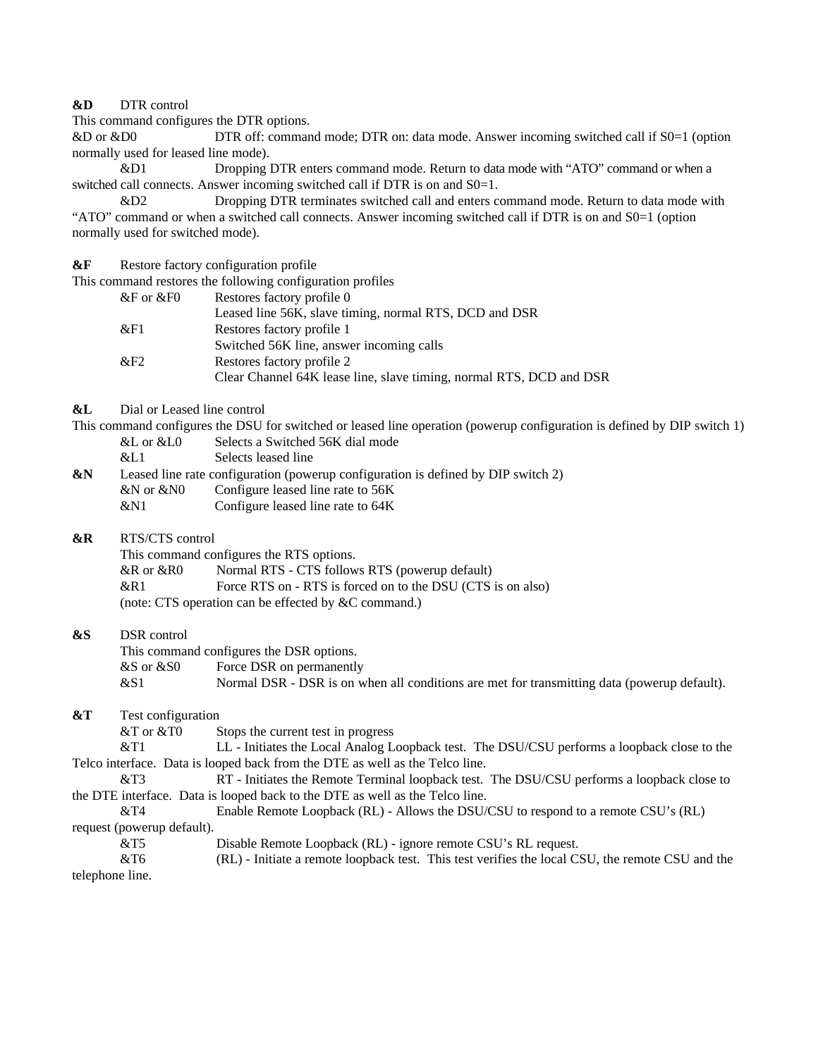### **&D** DTR control

This command configures the DTR options.

&D or &D0 DTR off: command mode; DTR on: data mode. Answer incoming switched call if S0=1 (option normally used for leased line mode).

&D1 Dropping DTR enters command mode. Return to data mode with "ATO" command or when a switched call connects. Answer incoming switched call if DTR is on and S0=1.

&D2 Dropping DTR terminates switched call and enters command mode. Return to data mode with "ATO" command or when a switched call connects. Answer incoming switched call if DTR is on and  $S0=1$  (option normally used for switched mode).

**&F** Restore factory configuration profile

This command restores the following configuration profiles

| $\&$ F or $\&$ F0 | Restores factory profile 0                                          |
|-------------------|---------------------------------------------------------------------|
|                   | Leased line 56K, slave timing, normal RTS, DCD and DSR              |
| &E1               | Restores factory profile 1                                          |
|                   | Switched 56K line, answer incoming calls                            |
| &F2               | Restores factory profile 2                                          |
|                   | Clear Channel 64K lease line, slave timing, normal RTS, DCD and DSR |
|                   |                                                                     |

**&L** Dial or Leased line control

This command configures the DSU for switched or leased line operation (powerup configuration is defined by DIP switch 1)

&L or &L0 Selects a Switched 56K dial mode

&L1 Selects leased line

**&N** Leased line rate configuration (powerup configuration is defined by DIP switch 2)

- &N or &N0 Configure leased line rate to 56K
- &N1 Configure leased line rate to 64K
- **&R** RTS/CTS control

This command configures the RTS options.

&R or &R0 Normal RTS - CTS follows RTS (powerup default)

&R1 Force RTS on - RTS is forced on to the DSU (CTS is on also)

(note: CTS operation can be effected by &C command.)

## **&S** DSR control

This command configures the DSR options. &S or &S0 Force DSR on permanently &S1 Normal DSR - DSR is on when all conditions are met for transmitting data (powerup default).

**&T** Test configuration

 $&\text{T}$  or  $&\text{T}$  Stops the current test in progress

&T1 LL - Initiates the Local Analog Loopback test. The DSU/CSU performs a loopback close to the Telco interface. Data is looped back from the DTE as well as the Telco line.

&T3 RT - Initiates the Remote Terminal loopback test. The DSU/CSU performs a loopback close to the DTE interface. Data is looped back to the DTE as well as the Telco line.

&T4 Enable Remote Loopback (RL) - Allows the DSU/CSU to respond to a remote CSU's (RL) request (powerup default).

&T5 Disable Remote Loopback (RL) - ignore remote CSU's RL request.

&T6 (RL) - Initiate a remote loopback test. This test verifies the local CSU, the remote CSU and the telephone line.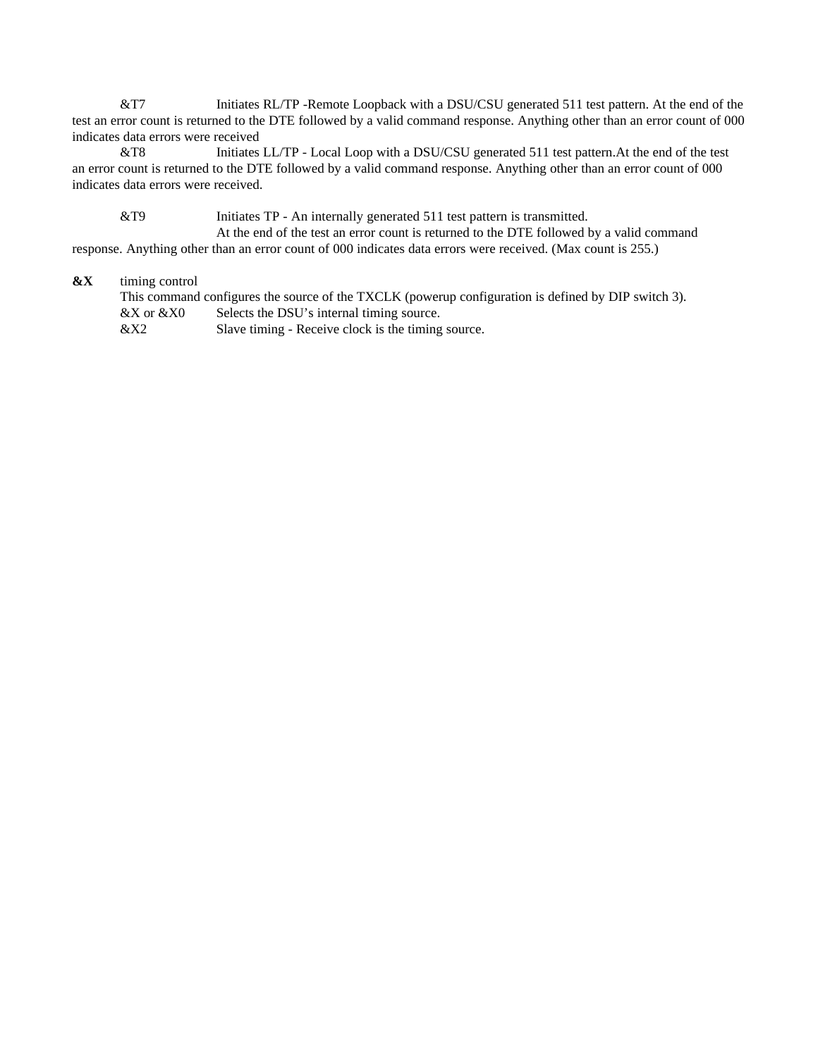&T7 Initiates RL/TP -Remote Loopback with a DSU/CSU generated 511 test pattern. At the end of the test an error count is returned to the DTE followed by a valid command response. Anything other than an error count of 000 indicates data errors were received

&T8 Initiates LL/TP - Local Loop with a DSU/CSU generated 511 test pattern.At the end of the test an error count is returned to the DTE followed by a valid command response. Anything other than an error count of 000 indicates data errors were received.

&T9 Initiates TP - An internally generated 511 test pattern is transmitted. At the end of the test an error count is returned to the DTE followed by a valid command response. Anything other than an error count of 000 indicates data errors were received. (Max count is 255.)

### **&X** timing control

This command configures the source of the TXCLK (powerup configuration is defined by DIP switch 3). &X or &X0 Selects the DSU's internal timing source.<br>&X2 Slave timing - Receive clock is the timing Slave timing - Receive clock is the timing source.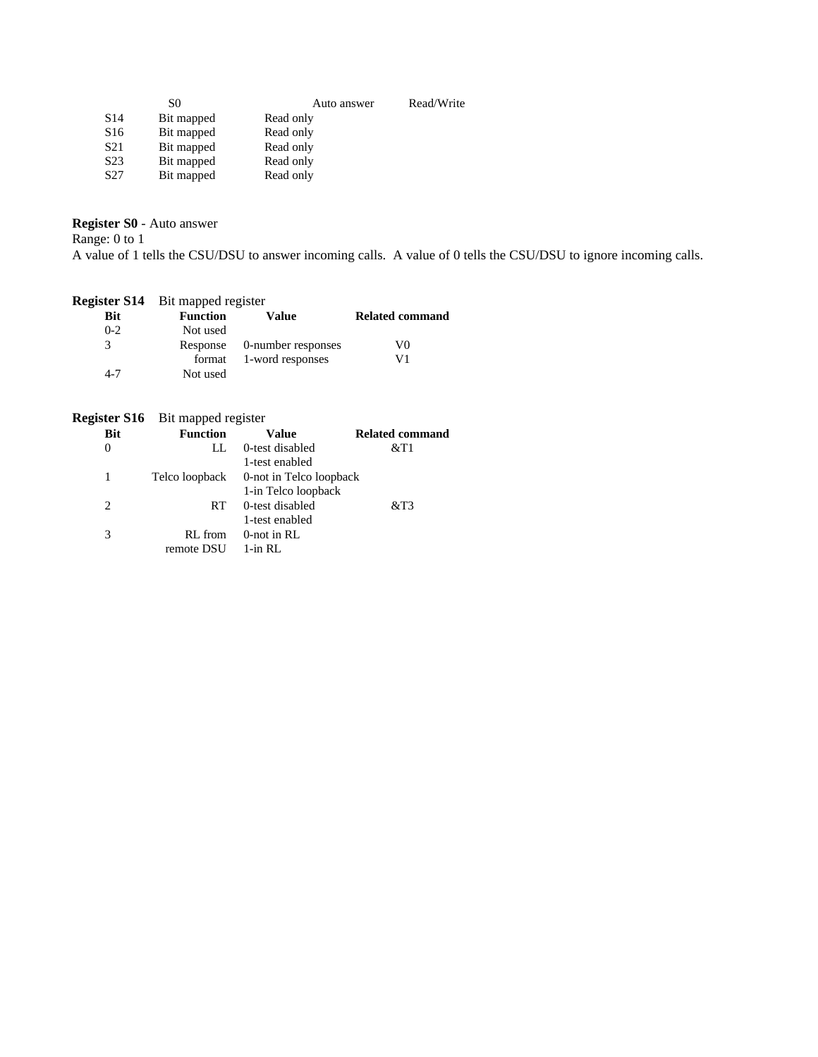| S0         | Auto answer | Read/Write |
|------------|-------------|------------|
| Bit mapped | Read only   |            |
| Bit mapped | Read only   |            |
| Bit mapped | Read only   |            |
| Bit mapped | Read only   |            |
| Bit mapped | Read only   |            |
|            |             |            |

## **Register S0** - Auto answer

Range: 0 to 1

A value of 1 tells the CSU/DSU to answer incoming calls. A value of 0 tells the CSU/DSU to ignore incoming calls.

|            | <b>Register S14</b> Bit mapped register |                             |                        |
|------------|-----------------------------------------|-----------------------------|------------------------|
| <b>Bit</b> | <b>Function</b>                         | Value                       | <b>Related command</b> |
| $0-2$      | Not used                                |                             |                        |
| 3          |                                         | Response 0-number responses | V0                     |
|            |                                         | format 1-word responses     | V1                     |
| 4-7        | Not used                                |                             |                        |

## **Register S16** Bit mapped register

| Bit | <b>Function</b> | Value                                  | <b>Related command</b> |
|-----|-----------------|----------------------------------------|------------------------|
| 0   | LL.             | 0-test disabled                        | $&$ T1                 |
|     |                 | 1-test enabled                         |                        |
|     |                 | Telco loopback 0-not in Telco loopback |                        |
|     |                 | 1-in Telco loopback                    |                        |
| 2   | RT.             | 0-test disabled                        | &T3                    |
|     |                 | 1-test enabled                         |                        |
| 3   | RL from         | $0$ -not in RL                         |                        |
|     | remote DSU      | $1$ -in RL                             |                        |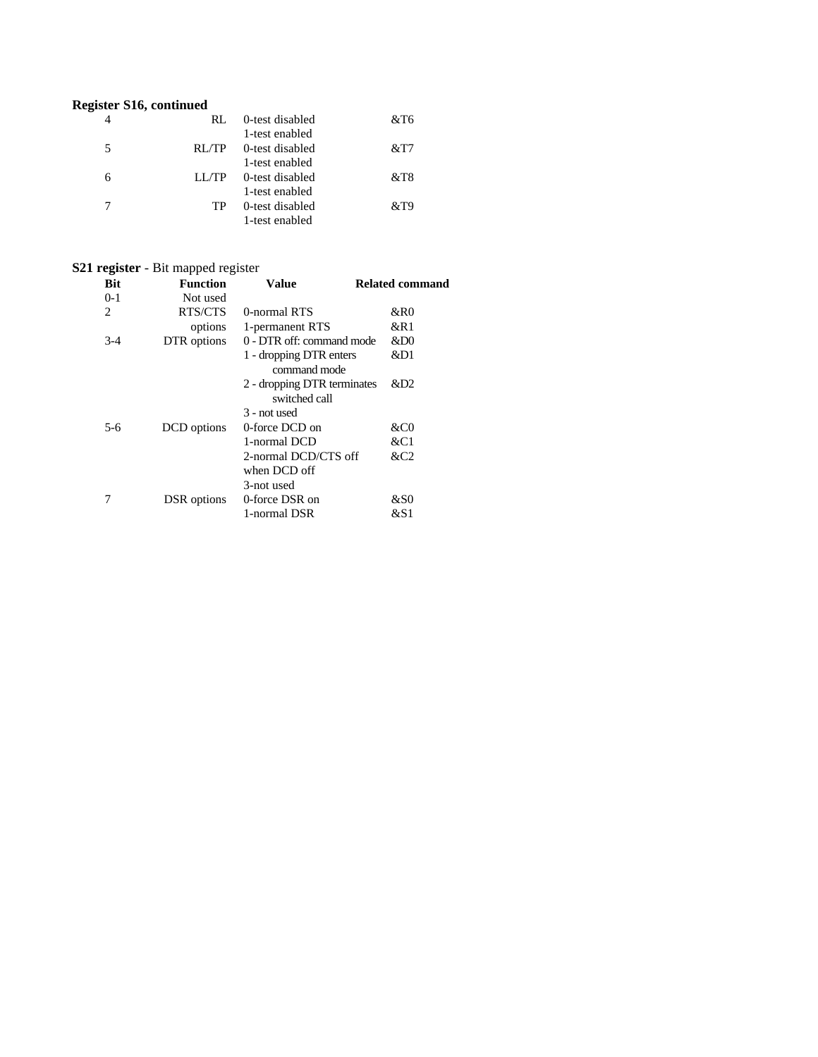## **Register S16, continued**

|   | RL.   | 0-test disabled | &T6    |
|---|-------|-----------------|--------|
|   |       | 1-test enabled  |        |
| 5 | RL/TP | 0-test disabled | &T7    |
|   |       | 1-test enabled  |        |
| 6 | LL/TP | 0-test disabled | $&$ T8 |
|   |       | 1-test enabled  |        |
|   | TР    | 0-test disabled | &T9    |
|   |       | 1-test enabled  |        |

## **S21 register** - Bit mapped register

| <b>Bit</b>     | <b>Function</b> | Value                                        | <b>Related command</b> |
|----------------|-----------------|----------------------------------------------|------------------------|
| $0-1$          | Not used        |                                              |                        |
| $\overline{c}$ | RTS/CTS         | 0-normal RTS                                 | &R0                    |
|                | options         | 1-permanent RTS                              | &R1                    |
| $3-4$          | DTR options     | 0 - DTR off: command mode                    | ⅅ                      |
|                |                 | 1 - dropping DTR enters<br>command mode      | &D1                    |
|                |                 | 2 - dropping DTR terminates<br>switched call | &D2                    |
|                |                 | 3 - not used                                 |                        |
| 5-6            | DCD options     | 0-force DCD on                               | &CO                    |
|                |                 | 1-normal DCD                                 | &C1                    |
|                |                 | 2-normal DCD/CTS off<br>when DCD off         | &C2                    |
|                |                 | 3-not used                                   |                        |
|                | DSR options     | 0-force DSR on                               | &S0                    |
|                |                 | 1-normal DSR                                 | &S1                    |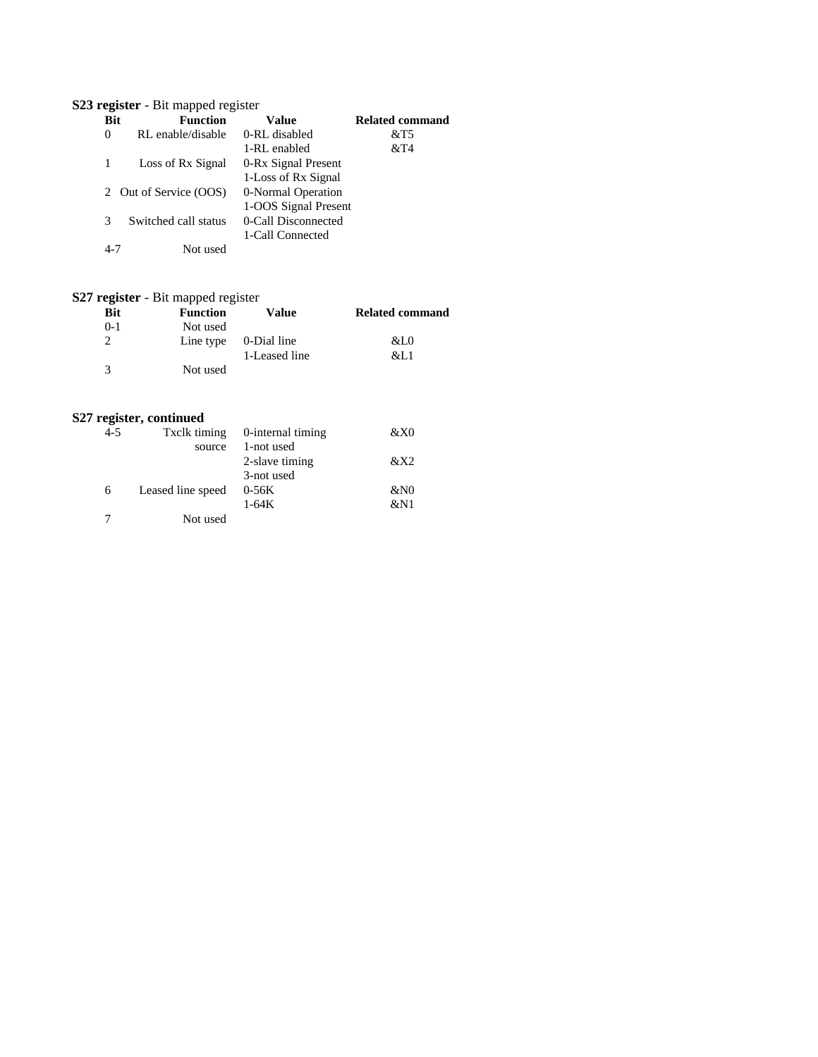## **S23 register** - Bit mapped register

| <b>Bit</b> | <b>Function</b>        | Value                | <b>Related command</b> |
|------------|------------------------|----------------------|------------------------|
| $\Omega$   | RL enable/disable      | 0-RL disabled        | $&$ T5                 |
|            |                        | 1-RL enabled         | &T4                    |
|            | Loss of Rx Signal      | 0-Rx Signal Present  |                        |
|            |                        | 1-Loss of Rx Signal  |                        |
|            | 2 Out of Service (OOS) | 0-Normal Operation   |                        |
|            |                        | 1-OOS Signal Present |                        |
| 3          | Switched call status   | 0-Call Disconnected  |                        |
|            |                        | 1-Call Connected     |                        |
| 4-7        | Not used               |                      |                        |
|            |                        |                      |                        |

# **S27 register** - Bit mapped register

| <b>Bit</b> | <b>Function</b> | Value                           | <b>Related command</b> |
|------------|-----------------|---------------------------------|------------------------|
| $0 - 1$    | Not used        |                                 |                        |
|            |                 | Line type $\qquad 0$ -Dial line | &L0                    |
|            |                 | 1-Leased line                   | &L 1                   |
| 3          | Not used        |                                 |                        |

## **S27 register, continued**

| $4 - 5$ | Txclk timing      | 0-internal timing | &X0 |
|---------|-------------------|-------------------|-----|
|         | source            | 1-not used        |     |
|         |                   | 2-slave timing    | &X2 |
|         |                   | 3-not used        |     |
| 6       | Leased line speed | $0-56K$           | &N0 |
|         |                   | $1-64K$           | &N1 |
|         | Not used          |                   |     |
|         |                   |                   |     |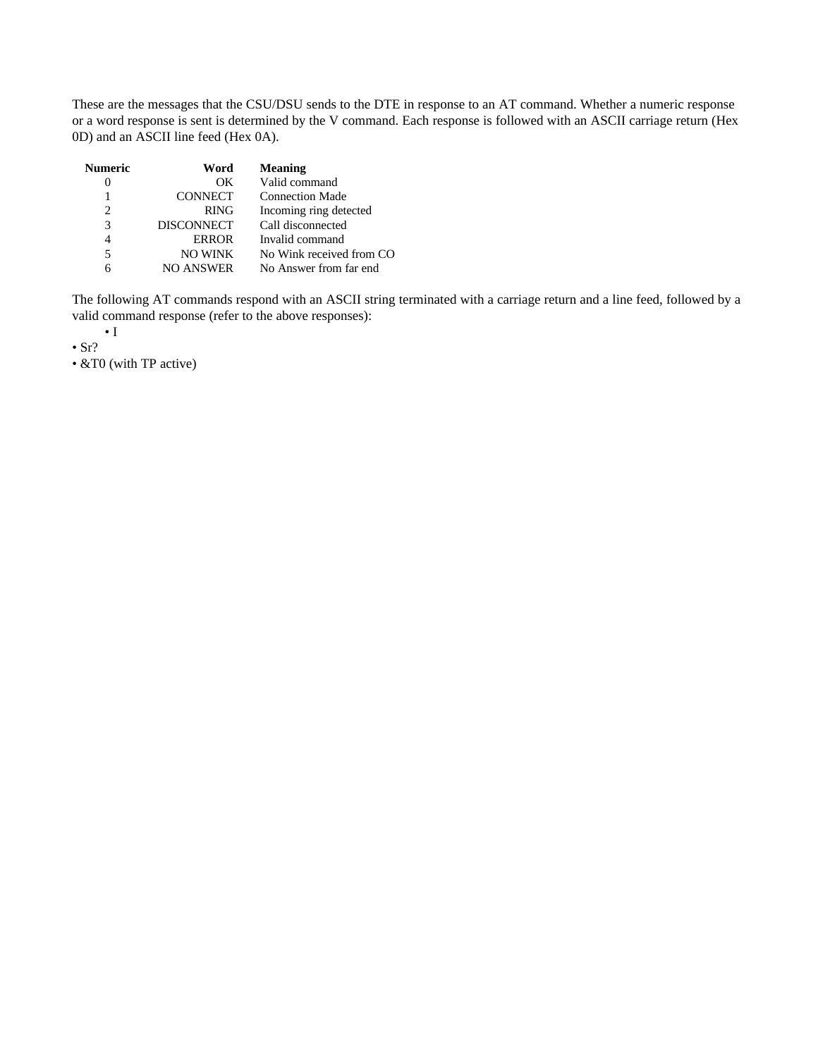These are the messages that the CSU/DSU sends to the DTE in response to an AT command. Whether a numeric response or a word response is sent is determined by the V command. Each response is followed with an ASCII carriage return (Hex 0D) and an ASCII line feed (Hex 0A).

| <b>Numeric</b>              | Word              | <b>Meaning</b>           |
|-----------------------------|-------------------|--------------------------|
|                             | OK                | Valid command            |
|                             | <b>CONNECT</b>    | <b>Connection Made</b>   |
| $\mathcal{D}_{\mathcal{L}}$ | <b>RING</b>       | Incoming ring detected   |
| 3                           | <b>DISCONNECT</b> | Call disconnected        |
|                             | <b>ERROR</b>      | Invalid command          |
| 5                           | <b>NO WINK</b>    | No Wink received from CO |
|                             | <b>NO ANSWER</b>  | No Answer from far end   |

The following AT commands respond with an ASCII string terminated with a carriage return and a line feed, followed by a valid command response (refer to the above responses):

• I

 $\cdot$  Sr?

• &T0 (with TP active)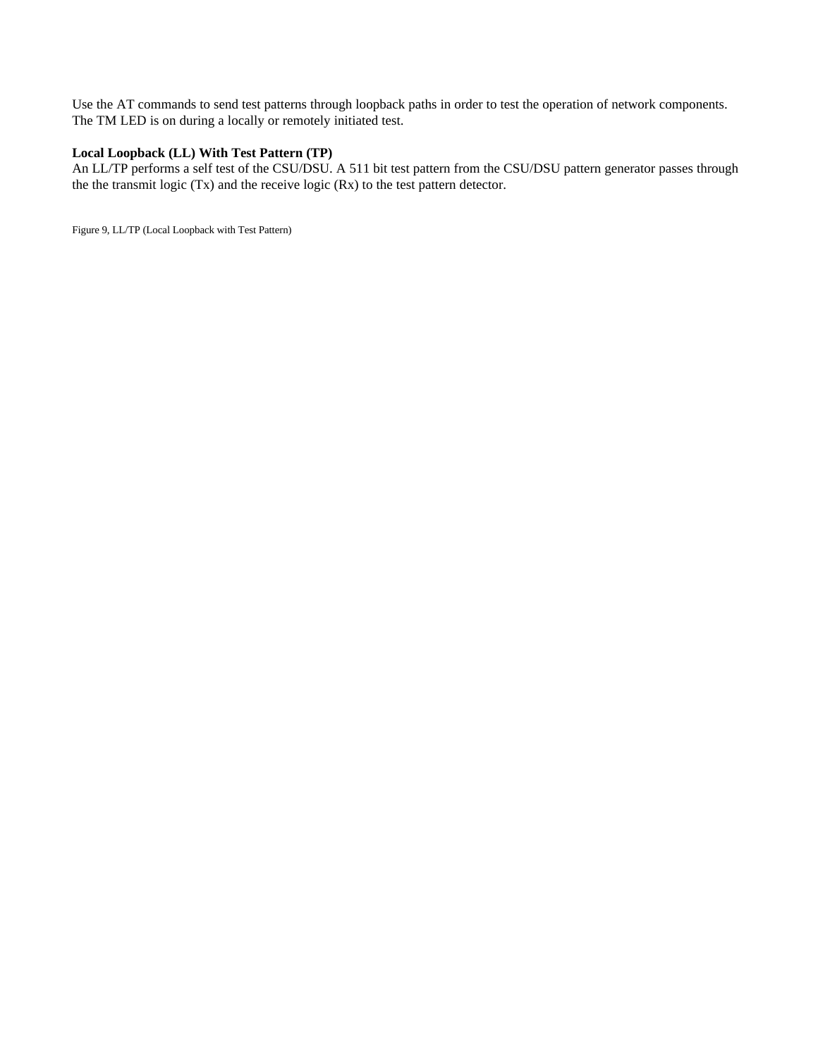Use the AT commands to send test patterns through loopback paths in order to test the operation of network components. The TM LED is on during a locally or remotely initiated test.

### **Local Loopback (LL) With Test Pattern (TP)**

An LL/TP performs a self test of the CSU/DSU. A 511 bit test pattern from the CSU/DSU pattern generator passes through the the transmit logic (Tx) and the receive logic (Rx) to the test pattern detector.

Figure 9, LL/TP (Local Loopback with Test Pattern)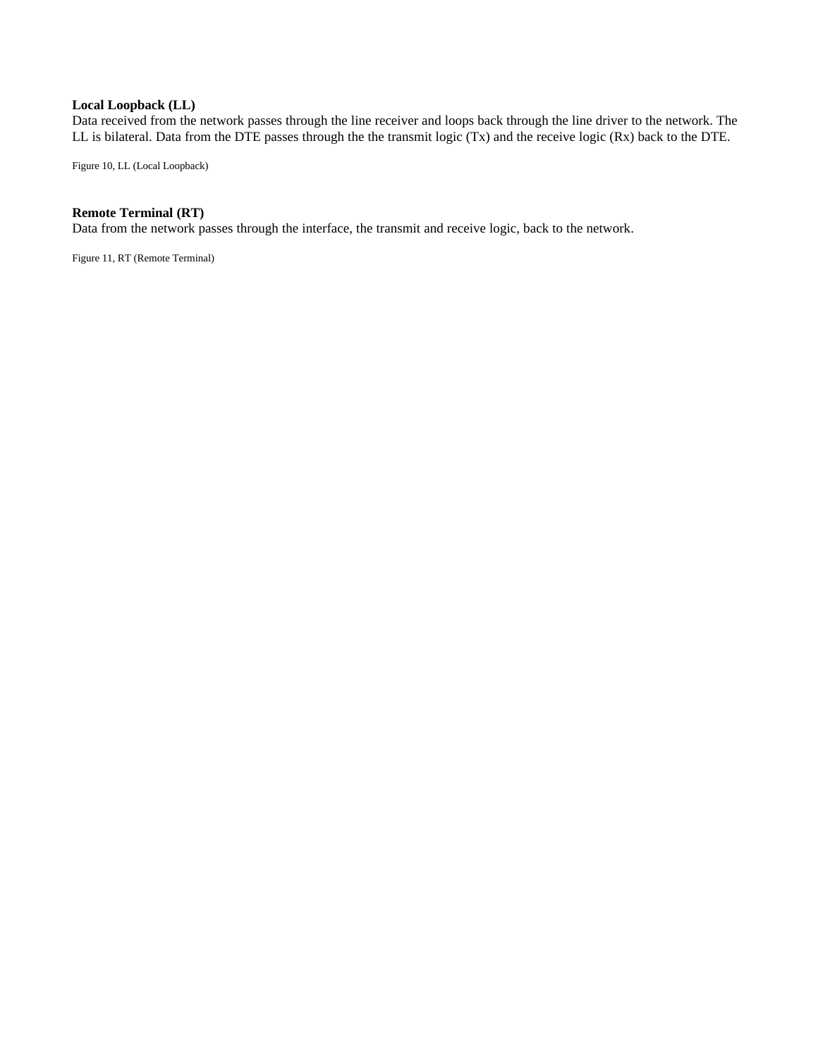#### **Local Loopback (LL)**

Data received from the network passes through the line receiver and loops back through the line driver to the network. The LL is bilateral. Data from the DTE passes through the the transmit logic (Tx) and the receive logic (Rx) back to the DTE.

Figure 10, LL (Local Loopback)

## **Remote Terminal (RT)**

Data from the network passes through the interface, the transmit and receive logic, back to the network.

Figure 11, RT (Remote Terminal)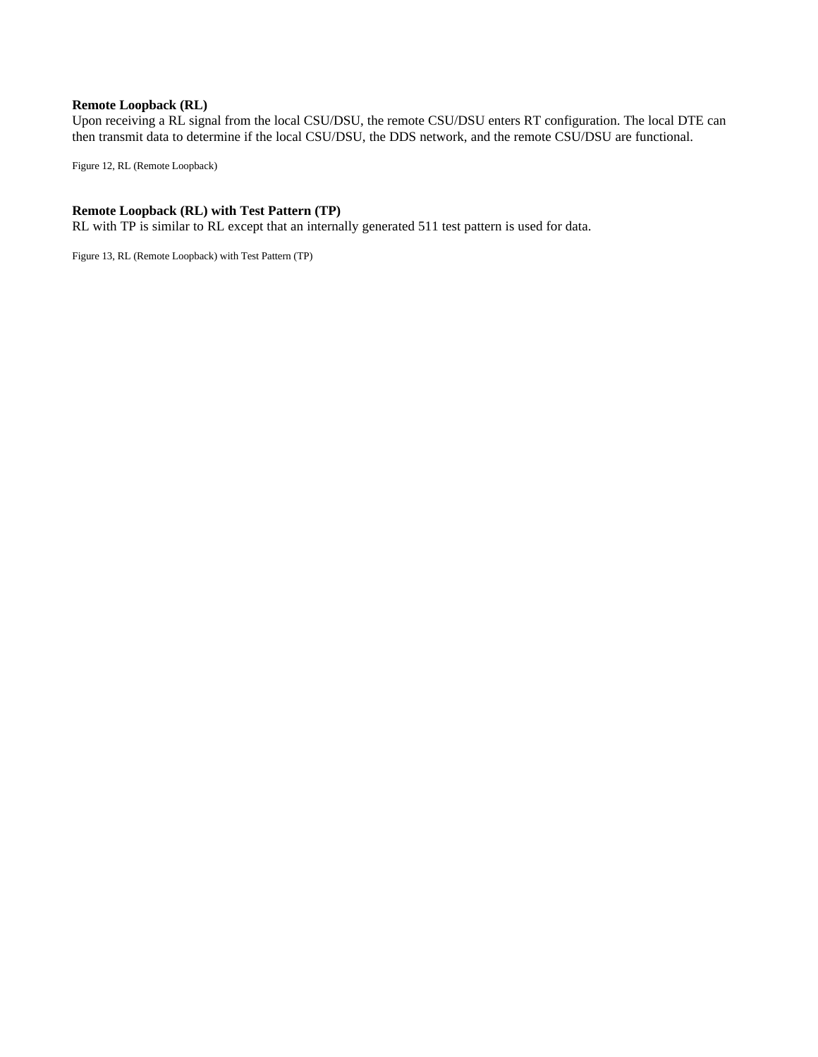#### **Remote Loopback (RL)**

Upon receiving a RL signal from the local CSU/DSU, the remote CSU/DSU enters RT configuration. The local DTE can then transmit data to determine if the local CSU/DSU, the DDS network, and the remote CSU/DSU are functional.

Figure 12, RL (Remote Loopback)

### **Remote Loopback (RL) with Test Pattern (TP)**

RL with TP is similar to RL except that an internally generated 511 test pattern is used for data.

Figure 13, RL (Remote Loopback) with Test Pattern (TP)